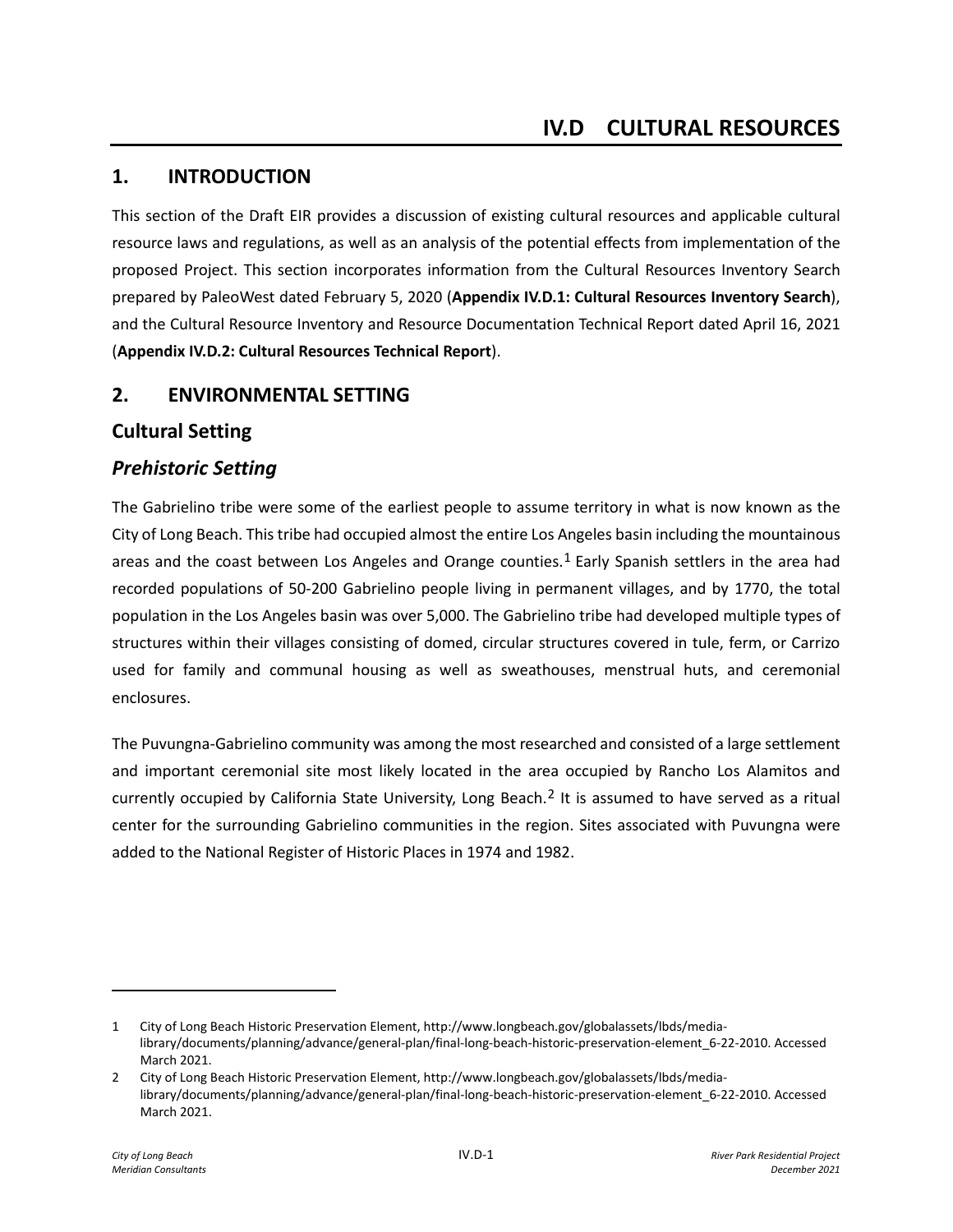# **1. INTRODUCTION**

This section of the Draft EIR provides a discussion of existing cultural resources and applicable cultural resource laws and regulations, as well as an analysis of the potential effects from implementation of the proposed Project. This section incorporates information from the Cultural Resources Inventory Search prepared by PaleoWest dated February 5, 2020 (**Appendix IV.D.1: Cultural Resources Inventory Search**), and the Cultural Resource Inventory and Resource Documentation Technical Report dated April 16, 2021 (**Appendix IV.D.2: Cultural Resources Technical Report**).

# **2. ENVIRONMENTAL SETTING**

# **Cultural Setting**

# *Prehistoric Setting*

The Gabrielino tribe were some of the earliest people to assume territory in what is now known as the City of Long Beach. This tribe had occupied almost the entire Los Angeles basin including the mountainous areas and the coast between Los Angeles and Orange counties.<sup>[1](#page-0-0)</sup> Early Spanish settlers in the area had recorded populations of 50-200 Gabrielino people living in permanent villages, and by 1770, the total population in the Los Angeles basin was over 5,000. The Gabrielino tribe had developed multiple types of structures within their villages consisting of domed, circular structures covered in tule, ferm, or Carrizo used for family and communal housing as well as sweathouses, menstrual huts, and ceremonial enclosures.

The Puvungna-Gabrielino community was among the most researched and consisted of a large settlement and important ceremonial site most likely located in the area occupied by Rancho Los Alamitos and currently occupied by California State University, Long Beach.<sup>[2](#page-0-1)</sup> It is assumed to have served as a ritual center for the surrounding Gabrielino communities in the region. Sites associated with Puvungna were added to the National Register of Historic Places in 1974 and 1982.

<span id="page-0-0"></span><sup>1</sup> City of Long Beach Historic Preservation Element, http://www.longbeach.gov/globalassets/lbds/medialibrary/documents/planning/advance/general-plan/final-long-beach-historic-preservation-element\_6-22-2010. Accessed March 2021.

<span id="page-0-1"></span><sup>2</sup> City of Long Beach Historic Preservation Element, http://www.longbeach.gov/globalassets/lbds/medialibrary/documents/planning/advance/general-plan/final-long-beach-historic-preservation-element\_6-22-2010. Accessed March 2021.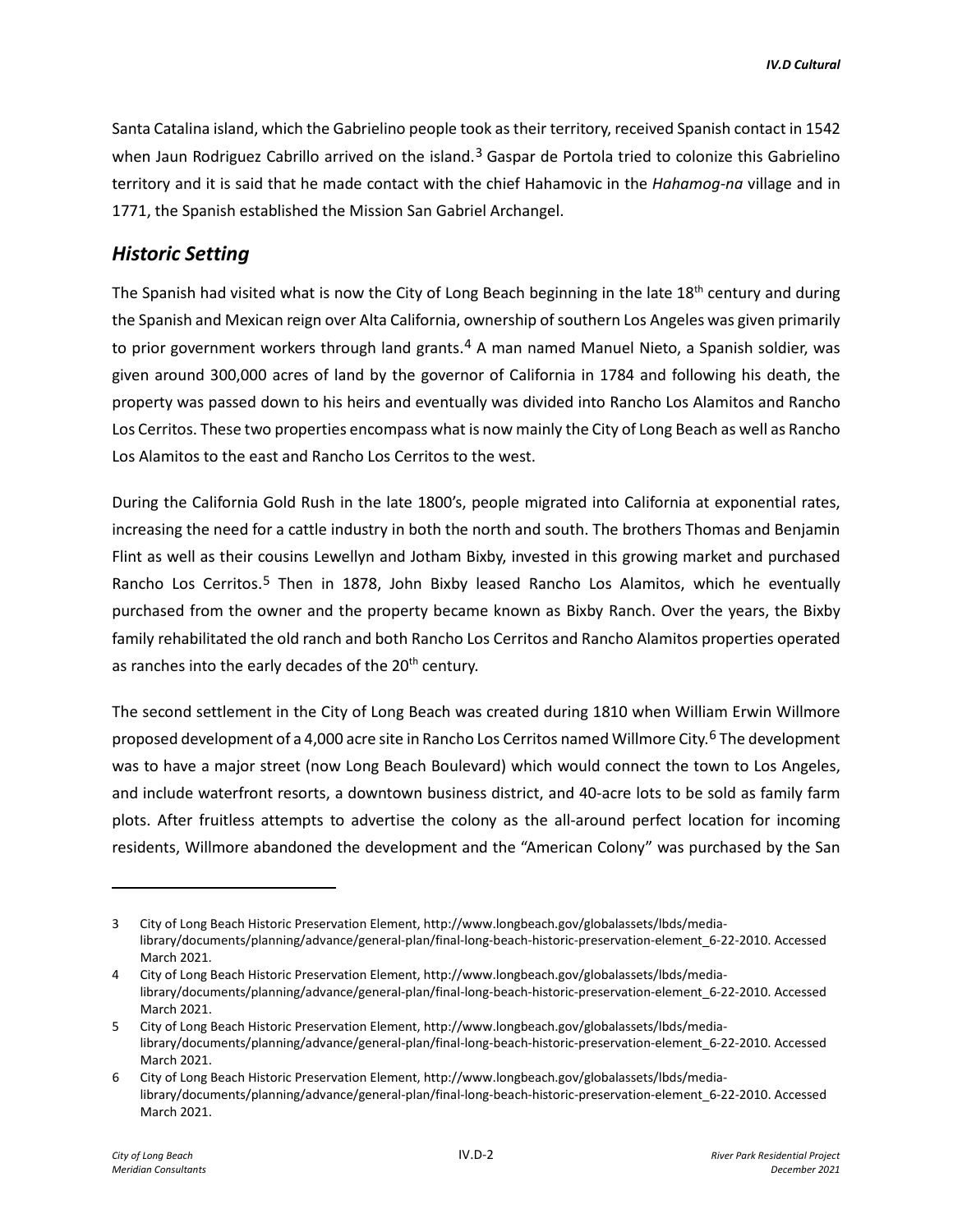Santa Catalina island, which the Gabrielino people took as their territory, received Spanish contact in 1542 when Jaun Rodriguez Cabrillo arrived on the island.<sup>[3](#page-1-0)</sup> Gaspar de Portola tried to colonize this Gabrielino territory and it is said that he made contact with the chief Hahamovic in the *Hahamog-na* village and in 1771, the Spanish established the Mission San Gabriel Archangel.

# *Historic Setting*

The Spanish had visited what is now the City of Long Beach beginning in the late  $18<sup>th</sup>$  century and during the Spanish and Mexican reign over Alta California, ownership of southern Los Angeles was given primarily to prior government workers through land grants.<sup>[4](#page-1-1)</sup> A man named Manuel Nieto, a Spanish soldier, was given around 300,000 acres of land by the governor of California in 1784 and following his death, the property was passed down to his heirs and eventually was divided into Rancho Los Alamitos and Rancho Los Cerritos. These two properties encompass what is now mainly the City of Long Beach as well as Rancho Los Alamitos to the east and Rancho Los Cerritos to the west.

During the California Gold Rush in the late 1800's, people migrated into California at exponential rates, increasing the need for a cattle industry in both the north and south. The brothers Thomas and Benjamin Flint as well as their cousins Lewellyn and Jotham Bixby, invested in this growing market and purchased Rancho Los Cerritos.[5](#page-1-2) Then in 1878, John Bixby leased Rancho Los Alamitos, which he eventually purchased from the owner and the property became known as Bixby Ranch. Over the years, the Bixby family rehabilitated the old ranch and both Rancho Los Cerritos and Rancho Alamitos properties operated as ranches into the early decades of the 20<sup>th</sup> century.

The second settlement in the City of Long Beach was created during 1810 when William Erwin Willmore proposed development of a 4,000 acre site in Rancho Los Cerritos named Willmore City.<sup>[6](#page-1-3)</sup> The development was to have a major street (now Long Beach Boulevard) which would connect the town to Los Angeles, and include waterfront resorts, a downtown business district, and 40-acre lots to be sold as family farm plots. After fruitless attempts to advertise the colony as the all-around perfect location for incoming residents, Willmore abandoned the development and the "American Colony" was purchased by the San

<span id="page-1-0"></span>City of Long Beach Historic Preservation Element, http://www.longbeach.gov/globalassets/lbds/medialibrary/documents/planning/advance/general-plan/final-long-beach-historic-preservation-element\_6-22-2010. Accessed March 2021.

<span id="page-1-1"></span><sup>4</sup> City of Long Beach Historic Preservation Element, http://www.longbeach.gov/globalassets/lbds/medialibrary/documents/planning/advance/general-plan/final-long-beach-historic-preservation-element\_6-22-2010. Accessed March 2021.

<span id="page-1-2"></span><sup>5</sup> City of Long Beach Historic Preservation Element, http://www.longbeach.gov/globalassets/lbds/medialibrary/documents/planning/advance/general-plan/final-long-beach-historic-preservation-element\_6-22-2010. Accessed March 2021.

<span id="page-1-3"></span><sup>6</sup> City of Long Beach Historic Preservation Element, http://www.longbeach.gov/globalassets/lbds/medialibrary/documents/planning/advance/general-plan/final-long-beach-historic-preservation-element\_6-22-2010. Accessed March 2021.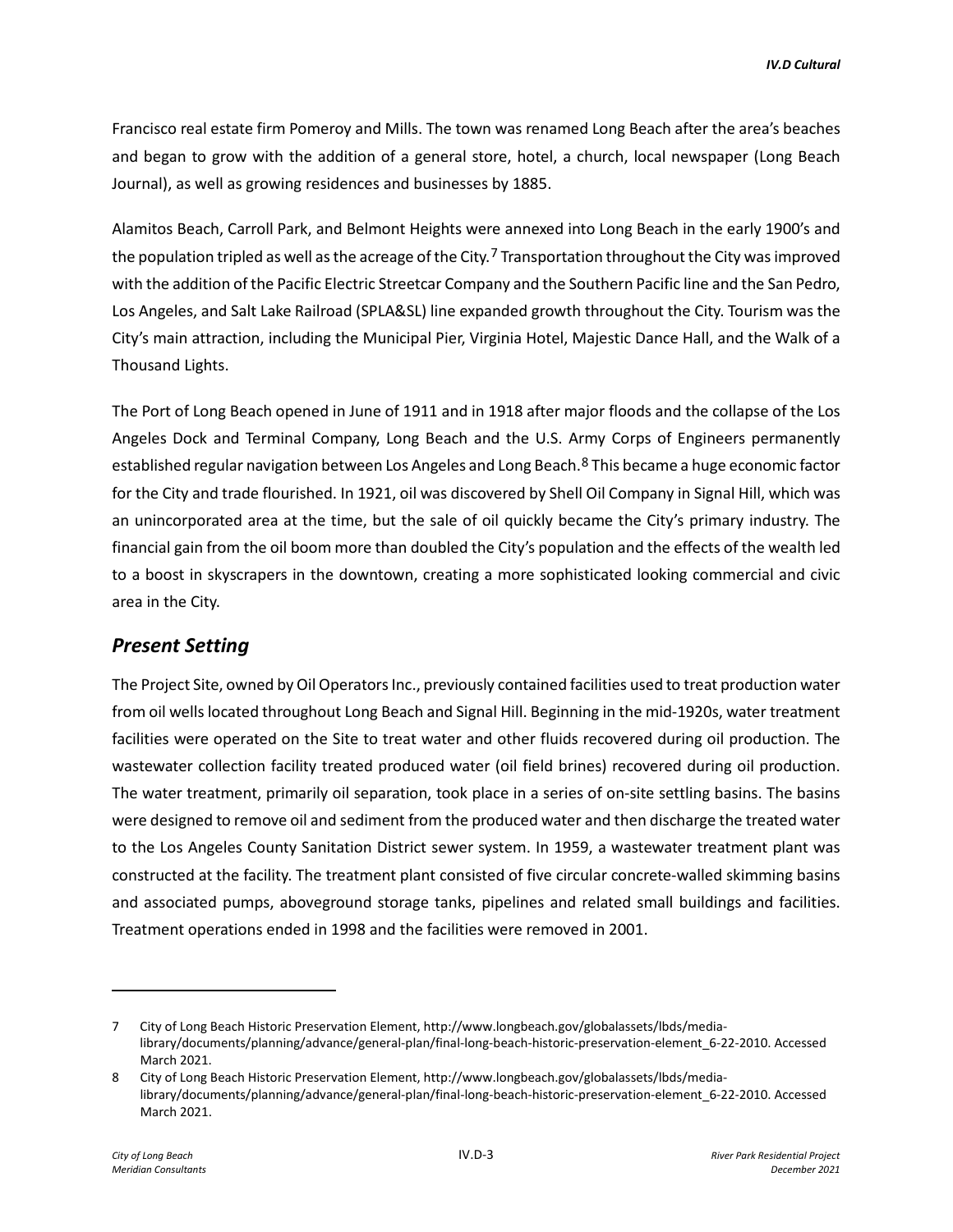Francisco real estate firm Pomeroy and Mills. The town was renamed Long Beach after the area's beaches and began to grow with the addition of a general store, hotel, a church, local newspaper (Long Beach Journal), as well as growing residences and businesses by 1885.

Alamitos Beach, Carroll Park, and Belmont Heights were annexed into Long Beach in the early 1900's and the population tripled as well as the acreage of the City.<sup>[7](#page-2-0)</sup> Transportation throughout the City was improved with the addition of the Pacific Electric Streetcar Company and the Southern Pacific line and the San Pedro, Los Angeles, and Salt Lake Railroad (SPLA&SL) line expanded growth throughout the City. Tourism was the City's main attraction, including the Municipal Pier, Virginia Hotel, Majestic Dance Hall, and the Walk of a Thousand Lights.

The Port of Long Beach opened in June of 1911 and in 1918 after major floods and the collapse of the Los Angeles Dock and Terminal Company, Long Beach and the U.S. Army Corps of Engineers permanently established regular navigation between Los Angeles and Long Beach.<sup>[8](#page-2-1)</sup> This became a huge economic factor for the City and trade flourished. In 1921, oil was discovered by Shell Oil Company in Signal Hill, which was an unincorporated area at the time, but the sale of oil quickly became the City's primary industry. The financial gain from the oil boom more than doubled the City's population and the effects of the wealth led to a boost in skyscrapers in the downtown, creating a more sophisticated looking commercial and civic area in the City.

## *Present Setting*

The Project Site, owned by Oil Operators Inc., previously contained facilities used to treat production water from oil wells located throughout Long Beach and Signal Hill. Beginning in the mid-1920s, water treatment facilities were operated on the Site to treat water and other fluids recovered during oil production. The wastewater collection facility treated produced water (oil field brines) recovered during oil production. The water treatment, primarily oil separation, took place in a series of on-site settling basins. The basins were designed to remove oil and sediment from the produced water and then discharge the treated water to the Los Angeles County Sanitation District sewer system. In 1959, a wastewater treatment plant was constructed at the facility. The treatment plant consisted of five circular concrete-walled skimming basins and associated pumps, aboveground storage tanks, pipelines and related small buildings and facilities. Treatment operations ended in 1998 and the facilities were removed in 2001.

<span id="page-2-0"></span><sup>7</sup> City of Long Beach Historic Preservation Element, http://www.longbeach.gov/globalassets/lbds/medialibrary/documents/planning/advance/general-plan/final-long-beach-historic-preservation-element\_6-22-2010. Accessed March 2021.

<span id="page-2-1"></span><sup>8</sup> City of Long Beach Historic Preservation Element, http://www.longbeach.gov/globalassets/lbds/medialibrary/documents/planning/advance/general-plan/final-long-beach-historic-preservation-element\_6-22-2010. Accessed March 2021.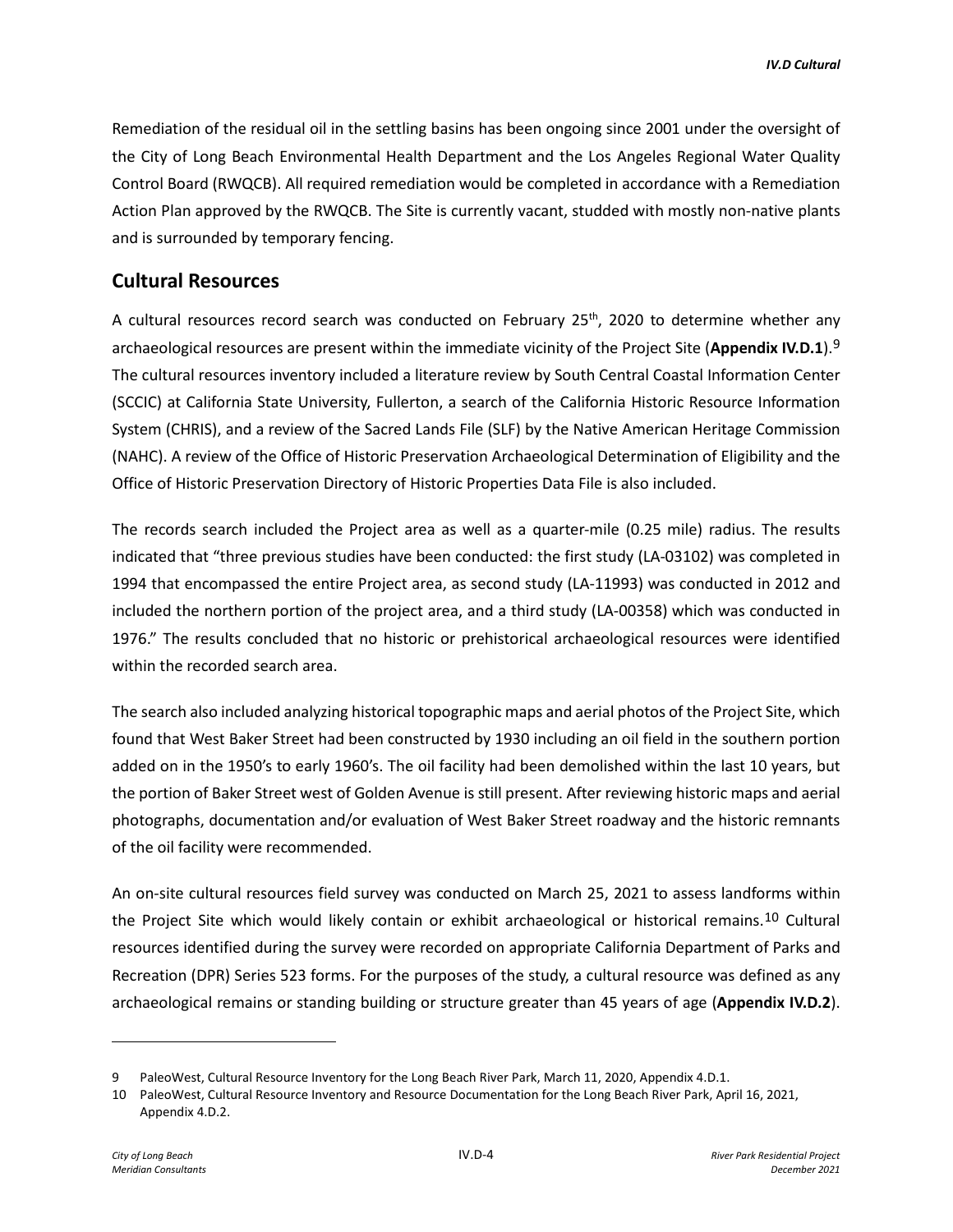Remediation of the residual oil in the settling basins has been ongoing since 2001 under the oversight of the City of Long Beach Environmental Health Department and the Los Angeles Regional Water Quality Control Board (RWQCB). All required remediation would be completed in accordance with a Remediation Action Plan approved by the RWQCB. The Site is currently vacant, studded with mostly non-native plants and is surrounded by temporary fencing.

# **Cultural Resources**

A cultural resources record search was conducted on February  $25<sup>th</sup>$ , 2020 to determine whether any archaeological resources are present within the immediate vicinity of the Project Site (**Appendix IV.D.1**).[9](#page-3-0) The cultural resources inventory included a literature review by South Central Coastal Information Center (SCCIC) at California State University, Fullerton, a search of the California Historic Resource Information System (CHRIS), and a review of the Sacred Lands File (SLF) by the Native American Heritage Commission (NAHC). A review of the Office of Historic Preservation Archaeological Determination of Eligibility and the Office of Historic Preservation Directory of Historic Properties Data File is also included.

The records search included the Project area as well as a quarter-mile (0.25 mile) radius. The results indicated that "three previous studies have been conducted: the first study (LA-03102) was completed in 1994 that encompassed the entire Project area, as second study (LA-11993) was conducted in 2012 and included the northern portion of the project area, and a third study (LA-00358) which was conducted in 1976." The results concluded that no historic or prehistorical archaeological resources were identified within the recorded search area.

The search also included analyzing historical topographic maps and aerial photos of the Project Site, which found that West Baker Street had been constructed by 1930 including an oil field in the southern portion added on in the 1950's to early 1960's. The oil facility had been demolished within the last 10 years, but the portion of Baker Street west of Golden Avenue is still present. After reviewing historic maps and aerial photographs, documentation and/or evaluation of West Baker Street roadway and the historic remnants of the oil facility were recommended.

An on-site cultural resources field survey was conducted on March 25, 2021 to assess landforms within the Project Site which would likely contain or exhibit archaeological or historical remains.[10](#page-3-1) Cultural resources identified during the survey were recorded on appropriate California Department of Parks and Recreation (DPR) Series 523 forms. For the purposes of the study, a cultural resource was defined as any archaeological remains or standing building or structure greater than 45 years of age (**Appendix IV.D.2**).

<span id="page-3-0"></span><sup>9</sup> PaleoWest, Cultural Resource Inventory for the Long Beach River Park, March 11, 2020, Appendix 4.D.1.

<span id="page-3-1"></span><sup>10</sup> PaleoWest, Cultural Resource Inventory and Resource Documentation for the Long Beach River Park, April 16, 2021, Appendix 4.D.2.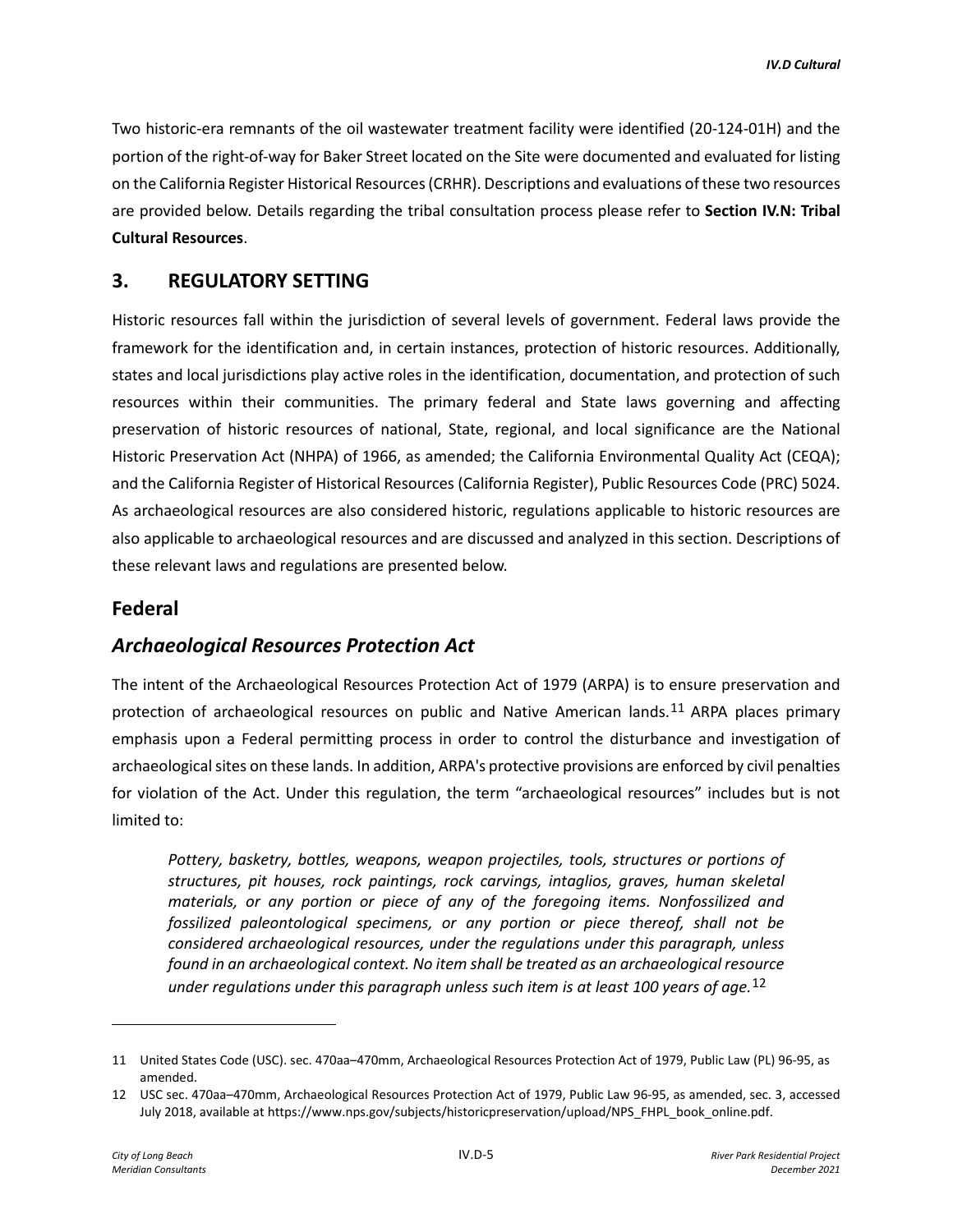Two historic-era remnants of the oil wastewater treatment facility were identified (20-124-01H) and the portion of the right-of-way for Baker Street located on the Site were documented and evaluated for listing on the California Register Historical Resources (CRHR). Descriptions and evaluations of these two resources are provided below. Details regarding the tribal consultation process please refer to **Section IV.N: Tribal Cultural Resources**.

# **3. REGULATORY SETTING**

Historic resources fall within the jurisdiction of several levels of government. Federal laws provide the framework for the identification and, in certain instances, protection of historic resources. Additionally, states and local jurisdictions play active roles in the identification, documentation, and protection of such resources within their communities. The primary federal and State laws governing and affecting preservation of historic resources of national, State, regional, and local significance are the National Historic Preservation Act (NHPA) of 1966, as amended; the California Environmental Quality Act (CEQA); and the California Register of Historical Resources (California Register), Public Resources Code (PRC) 5024. As archaeological resources are also considered historic, regulations applicable to historic resources are also applicable to archaeological resources and are discussed and analyzed in this section. Descriptions of these relevant laws and regulations are presented below.

## **Federal**

# *Archaeological Resources Protection Act*

The intent of the Archaeological Resources Protection Act of 1979 (ARPA) is to ensure preservation and protection of archaeological resources on public and Native American lands.[11](#page-4-0) ARPA places primary emphasis upon a Federal permitting process in order to control the disturbance and investigation of archaeological sites on these lands. In addition, ARPA's protective provisions are enforced by civil penalties for violation of the Act. Under this regulation, the term "archaeological resources" includes but is not limited to:

*Pottery, basketry, bottles, weapons, weapon projectiles, tools, structures or portions of structures, pit houses, rock paintings, rock carvings, intaglios, graves, human skeletal materials, or any portion or piece of any of the foregoing items. Nonfossilized and fossilized paleontological specimens, or any portion or piece thereof, shall not be considered archaeological resources, under the regulations under this paragraph, unless found in an archaeological context. No item shall be treated as an archaeological resource under regulations under this paragraph unless such item is at least 100 years of age.*[12](#page-4-1)

<span id="page-4-0"></span><sup>11</sup> United States Code (USC). sec. 470aa–470mm, Archaeological Resources Protection Act of 1979, Public Law (PL) 96-95, as amended.

<span id="page-4-1"></span><sup>12</sup> USC sec. 470aa–470mm, Archaeological Resources Protection Act of 1979, Public Law 96-95, as amended, sec. 3, accessed July 2018, available at https://www.nps.gov/subjects/historicpreservation/upload/NPS\_FHPL\_book\_online.pdf.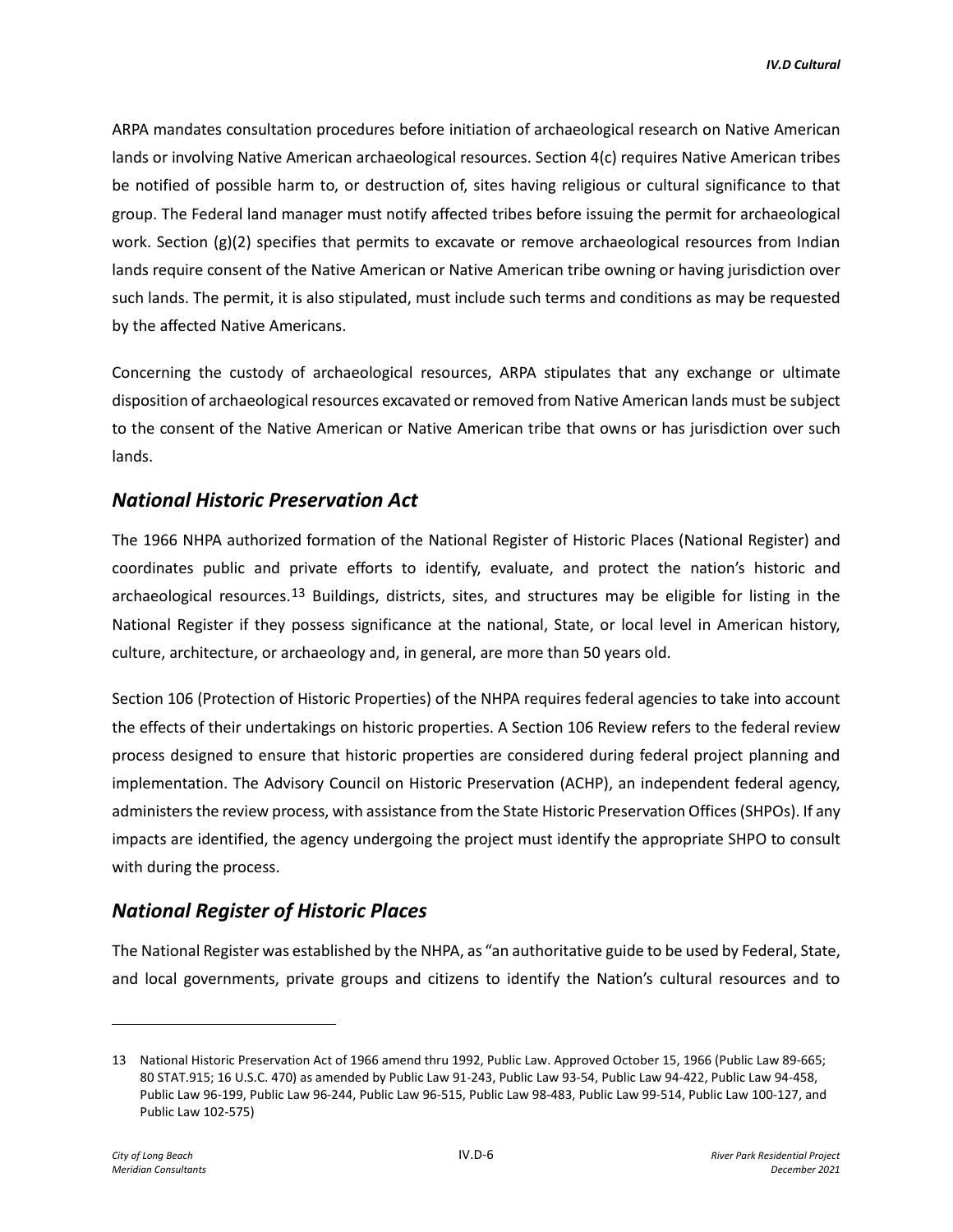ARPA mandates consultation procedures before initiation of archaeological research on Native American lands or involving Native American archaeological resources. Section 4(c) requires Native American tribes be notified of possible harm to, or destruction of, sites having religious or cultural significance to that group. The Federal land manager must notify affected tribes before issuing the permit for archaeological work. Section (g)(2) specifies that permits to excavate or remove archaeological resources from Indian lands require consent of the Native American or Native American tribe owning or having jurisdiction over such lands. The permit, it is also stipulated, must include such terms and conditions as may be requested by the affected Native Americans.

Concerning the custody of archaeological resources, ARPA stipulates that any exchange or ultimate disposition of archaeological resources excavated or removed from Native American lands must be subject to the consent of the Native American or Native American tribe that owns or has jurisdiction over such lands.

# *National Historic Preservation Act*

The 1966 NHPA authorized formation of the National Register of Historic Places (National Register) and coordinates public and private efforts to identify, evaluate, and protect the nation's historic and archaeological resources.<sup>[13](#page-5-0)</sup> Buildings, districts, sites, and structures may be eligible for listing in the National Register if they possess significance at the national, State, or local level in American history, culture, architecture, or archaeology and, in general, are more than 50 years old.

Section 106 (Protection of Historic Properties) of the NHPA requires federal agencies to take into account the effects of their undertakings on historic properties. A Section 106 Review refers to the federal review process designed to ensure that historic properties are considered during federal project planning and implementation. The Advisory Council on Historic Preservation (ACHP), an independent federal agency, administers the review process, with assistance from the State Historic Preservation Offices (SHPOs). If any impacts are identified, the agency undergoing the project must identify the appropriate SHPO to consult with during the process.

# *National Register of Historic Places*

The National Register was established by the NHPA, as "an authoritative guide to be used by Federal, State, and local governments, private groups and citizens to identify the Nation's cultural resources and to

<span id="page-5-0"></span><sup>13</sup> National Historic Preservation Act of 1966 amend thru 1992, Public Law. Approved October 15, 1966 (Public Law 89-665; 80 STAT.915; 16 U.S.C. 470) as amended by Public Law 91-243, Public Law 93-54, Public Law 94-422, Public Law 94-458, Public Law 96-199, Public Law 96-244, Public Law 96-515, Public Law 98-483, Public Law 99-514, Public Law 100-127, and Public Law 102-575)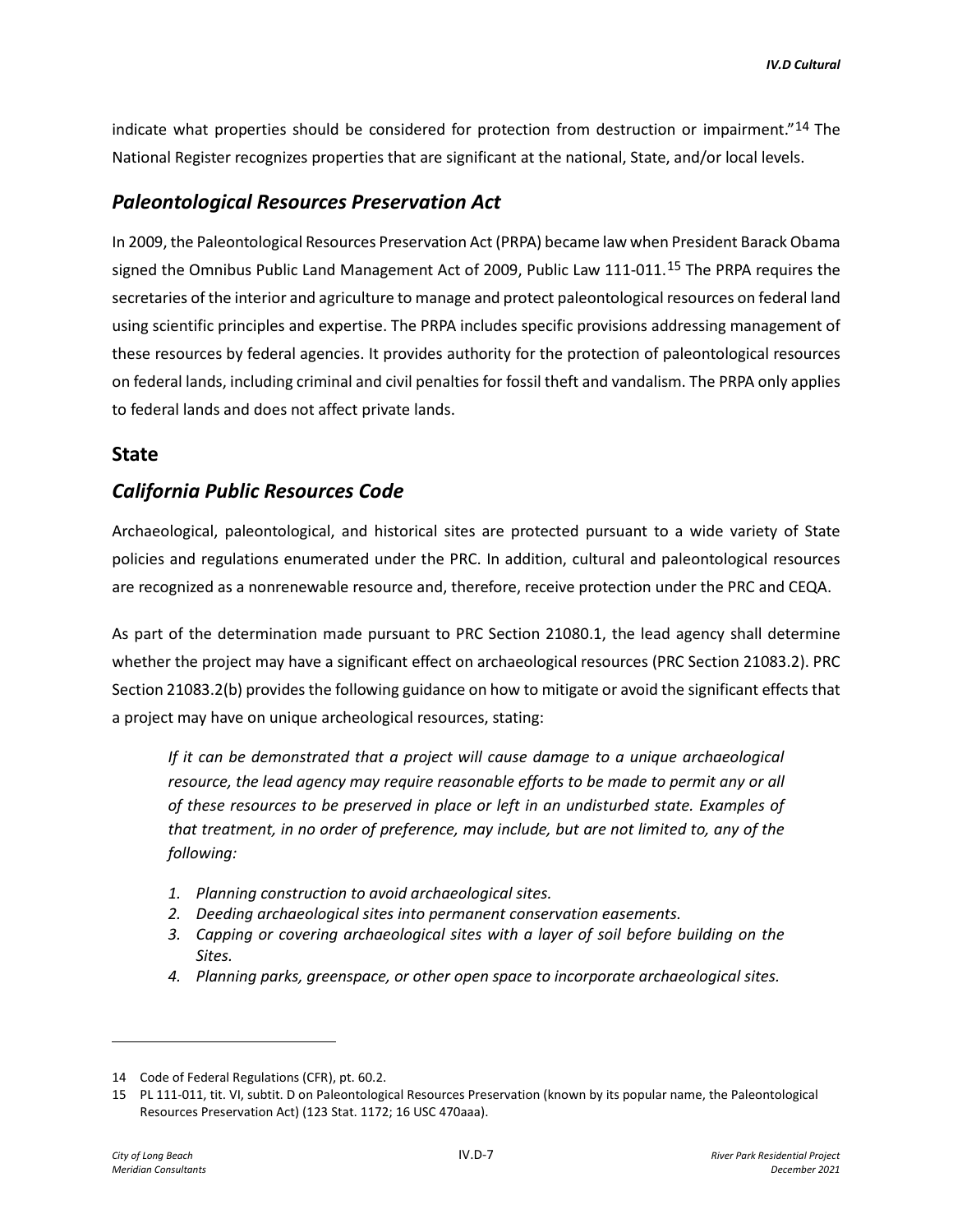indicate what properties should be considered for protection from destruction or impairment."<sup>[14](#page-6-0)</sup> The National Register recognizes properties that are significant at the national, State, and/or local levels.

# *Paleontological Resources Preservation Act*

In 2009, the Paleontological Resources Preservation Act (PRPA) became law when President Barack Obama signed the Omnibus Public Land Management Act of 2009, Public Law 111-011.<sup>[15](#page-6-1)</sup> The PRPA requires the secretaries of the interior and agriculture to manage and protect paleontological resources on federal land using scientific principles and expertise. The PRPA includes specific provisions addressing management of these resources by federal agencies. It provides authority for the protection of paleontological resources on federal lands, including criminal and civil penalties for fossil theft and vandalism. The PRPA only applies to federal lands and does not affect private lands.

#### **State**

# *California Public Resources Code*

Archaeological, paleontological, and historical sites are protected pursuant to a wide variety of State policies and regulations enumerated under the PRC. In addition, cultural and paleontological resources are recognized as a nonrenewable resource and, therefore, receive protection under the PRC and CEQA.

As part of the determination made pursuant to PRC Section 21080.1, the lead agency shall determine whether the project may have a significant effect on archaeological resources (PRC Section 21083.2). PRC Section 21083.2(b) provides the following guidance on how to mitigate or avoid the significant effects that a project may have on unique archeological resources, stating:

*If it can be demonstrated that a project will cause damage to a unique archaeological*  resource, the lead agency may require reasonable efforts to be made to permit any or all *of these resources to be preserved in place or left in an undisturbed state. Examples of that treatment, in no order of preference, may include, but are not limited to, any of the following:* 

- *1. Planning construction to avoid archaeological sites.*
- *2. Deeding archaeological sites into permanent conservation easements.*
- *3. Capping or covering archaeological sites with a layer of soil before building on the Sites.*
- *4. Planning parks, greenspace, or other open space to incorporate archaeological sites.*

<span id="page-6-0"></span><sup>14</sup> Code of Federal Regulations (CFR), pt. 60.2.

<span id="page-6-1"></span><sup>15</sup> PL 111-011, tit. VI, subtit. D on Paleontological Resources Preservation (known by its popular name, the Paleontological Resources Preservation Act) (123 Stat. 1172; 16 USC 470aaa).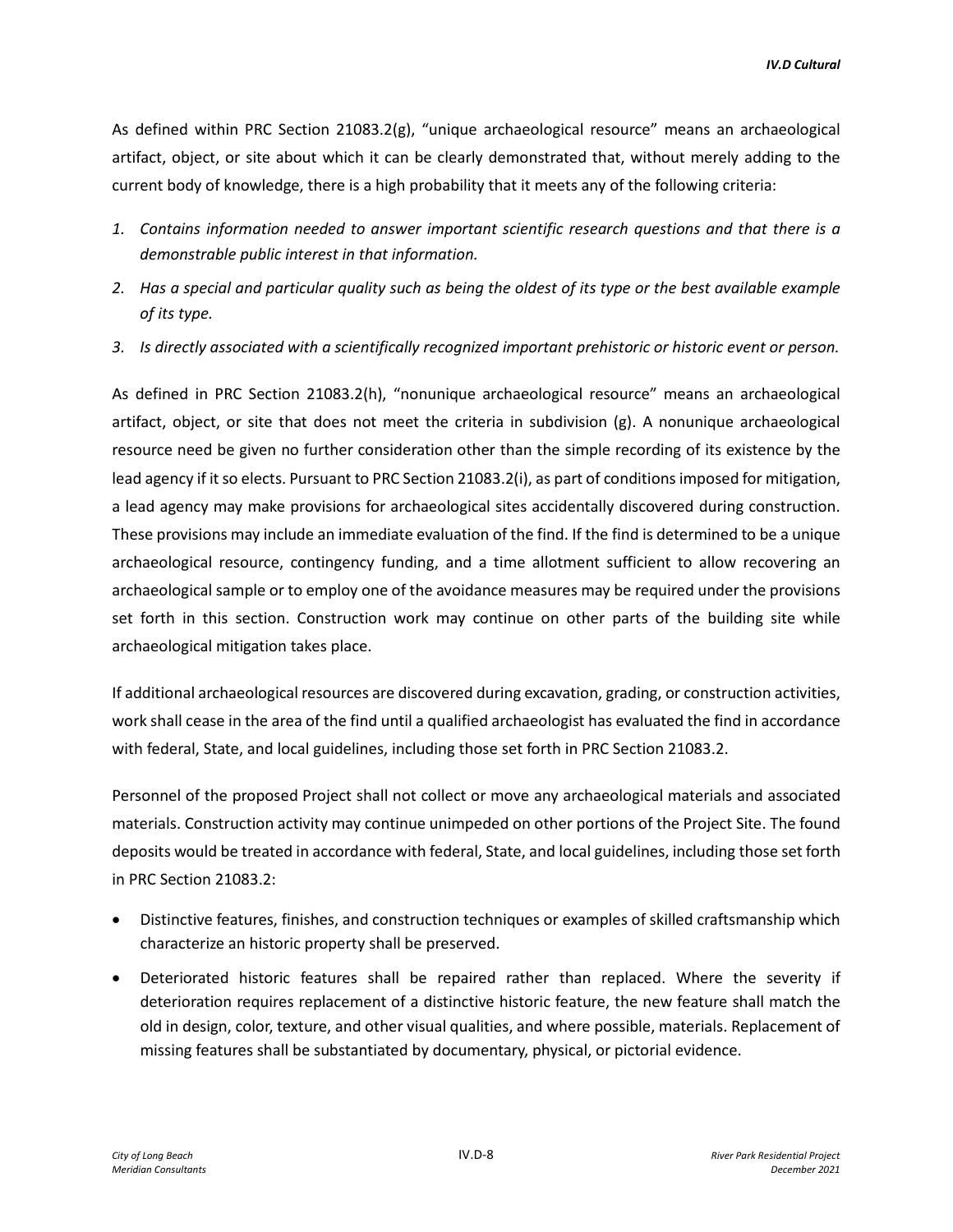As defined within PRC Section 21083.2(g), "unique archaeological resource" means an archaeological artifact, object, or site about which it can be clearly demonstrated that, without merely adding to the current body of knowledge, there is a high probability that it meets any of the following criteria:

- *1. Contains information needed to answer important scientific research questions and that there is a demonstrable public interest in that information.*
- *2. Has a special and particular quality such as being the oldest of its type or the best available example of its type.*
- *3. Is directly associated with a scientifically recognized important prehistoric or historic event or person.*

As defined in PRC Section 21083.2(h), "nonunique archaeological resource" means an archaeological artifact, object, or site that does not meet the criteria in subdivision (g). A nonunique archaeological resource need be given no further consideration other than the simple recording of its existence by the lead agency if it so elects. Pursuant to PRC Section 21083.2(i), as part of conditions imposed for mitigation, a lead agency may make provisions for archaeological sites accidentally discovered during construction. These provisions may include an immediate evaluation of the find. If the find is determined to be a unique archaeological resource, contingency funding, and a time allotment sufficient to allow recovering an archaeological sample or to employ one of the avoidance measures may be required under the provisions set forth in this section. Construction work may continue on other parts of the building site while archaeological mitigation takes place.

If additional archaeological resources are discovered during excavation, grading, or construction activities, work shall cease in the area of the find until a qualified archaeologist has evaluated the find in accordance with federal, State, and local guidelines, including those set forth in PRC Section 21083.2.

Personnel of the proposed Project shall not collect or move any archaeological materials and associated materials. Construction activity may continue unimpeded on other portions of the Project Site. The found deposits would be treated in accordance with federal, State, and local guidelines, including those set forth in PRC Section 21083.2:

- Distinctive features, finishes, and construction techniques or examples of skilled craftsmanship which characterize an historic property shall be preserved.
- Deteriorated historic features shall be repaired rather than replaced. Where the severity if deterioration requires replacement of a distinctive historic feature, the new feature shall match the old in design, color, texture, and other visual qualities, and where possible, materials. Replacement of missing features shall be substantiated by documentary, physical, or pictorial evidence.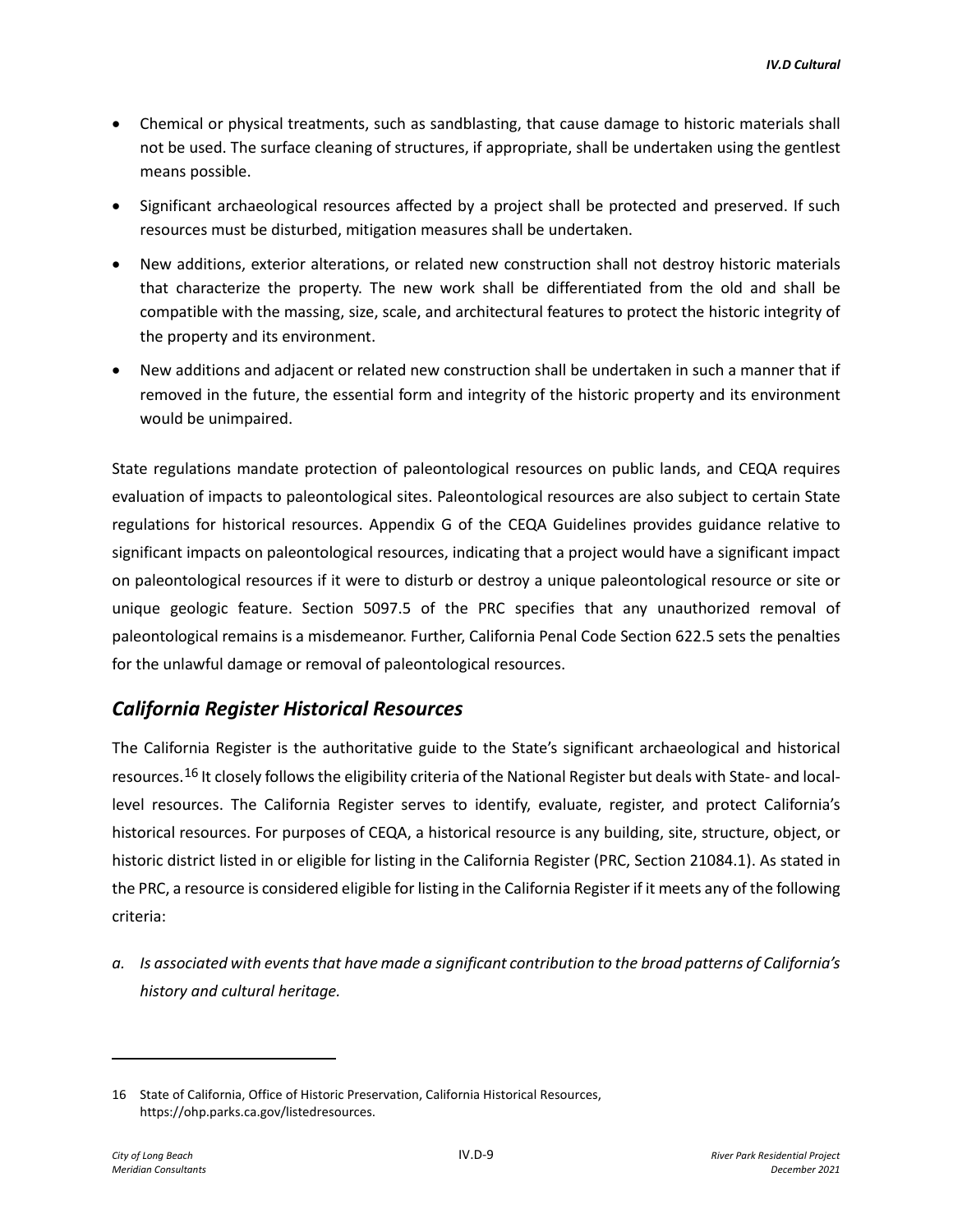- Chemical or physical treatments, such as sandblasting, that cause damage to historic materials shall not be used. The surface cleaning of structures, if appropriate, shall be undertaken using the gentlest means possible.
- Significant archaeological resources affected by a project shall be protected and preserved. If such resources must be disturbed, mitigation measures shall be undertaken.
- New additions, exterior alterations, or related new construction shall not destroy historic materials that characterize the property. The new work shall be differentiated from the old and shall be compatible with the massing, size, scale, and architectural features to protect the historic integrity of the property and its environment.
- New additions and adjacent or related new construction shall be undertaken in such a manner that if removed in the future, the essential form and integrity of the historic property and its environment would be unimpaired.

State regulations mandate protection of paleontological resources on public lands, and CEQA requires evaluation of impacts to paleontological sites. Paleontological resources are also subject to certain State regulations for historical resources. Appendix G of the CEQA Guidelines provides guidance relative to significant impacts on paleontological resources, indicating that a project would have a significant impact on paleontological resources if it were to disturb or destroy a unique paleontological resource or site or unique geologic feature. Section 5097.5 of the PRC specifies that any unauthorized removal of paleontological remains is a misdemeanor. Further, California Penal Code Section 622.5 sets the penalties for the unlawful damage or removal of paleontological resources.

# *California Register Historical Resources*

The California Register is the authoritative guide to the State's significant archaeological and historical resources.[16](#page-8-0) It closely follows the eligibility criteria of the National Register but deals with State- and locallevel resources. The California Register serves to identify, evaluate, register, and protect California's historical resources. For purposes of CEQA, a historical resource is any building, site, structure, object, or historic district listed in or eligible for listing in the California Register (PRC, Section 21084.1). As stated in the PRC, a resource is considered eligible for listing in the California Register if it meets any of the following criteria:

*a. Is associated with events that have made a significant contribution to the broad patterns of California's history and cultural heritage.* 

<span id="page-8-0"></span><sup>16</sup> State of California, Office of Historic Preservation, California Historical Resources, https://ohp.parks.ca.gov/listedresources.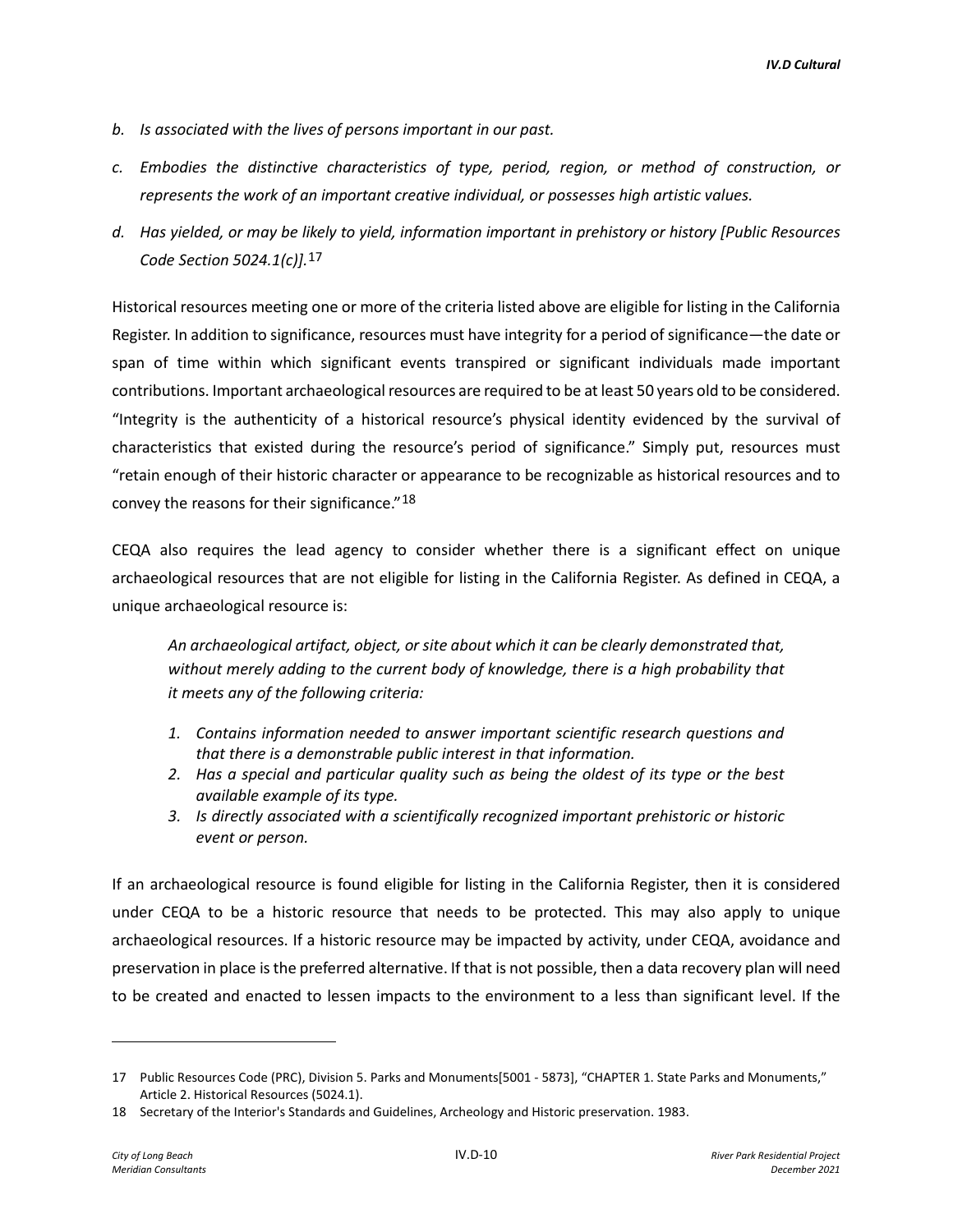- *b. Is associated with the lives of persons important in our past.*
- *c. Embodies the distinctive characteristics of type, period, region, or method of construction, or represents the work of an important creative individual, or possesses high artistic values.*
- *d. Has yielded, or may be likely to yield, information important in prehistory or history [Public Resources Code Section 5024.1(c)].*[17](#page-9-0)

Historical resources meeting one or more of the criteria listed above are eligible for listing in the California Register. In addition to significance, resources must have integrity for a period of significance—the date or span of time within which significant events transpired or significant individuals made important contributions. Important archaeological resources are required to be at least 50 years old to be considered. "Integrity is the authenticity of a historical resource's physical identity evidenced by the survival of characteristics that existed during the resource's period of significance." Simply put, resources must "retain enough of their historic character or appearance to be recognizable as historical resources and to convey the reasons for their significance."[18](#page-9-1)

CEQA also requires the lead agency to consider whether there is a significant effect on unique archaeological resources that are not eligible for listing in the California Register. As defined in CEQA, a unique archaeological resource is:

*An archaeological artifact, object, or site about which it can be clearly demonstrated that, without merely adding to the current body of knowledge, there is a high probability that it meets any of the following criteria:* 

- *1. Contains information needed to answer important scientific research questions and that there is a demonstrable public interest in that information.*
- *2. Has a special and particular quality such as being the oldest of its type or the best available example of its type.*
- *3. Is directly associated with a scientifically recognized important prehistoric or historic event or person.*

If an archaeological resource is found eligible for listing in the California Register, then it is considered under CEQA to be a historic resource that needs to be protected. This may also apply to unique archaeological resources. If a historic resource may be impacted by activity, under CEQA, avoidance and preservation in place is the preferred alternative. If that is not possible, then a data recovery plan will need to be created and enacted to lessen impacts to the environment to a less than significant level. If the

<span id="page-9-0"></span><sup>17</sup> Public Resources Code (PRC), Division 5. Parks and Monuments[5001 - 5873], "CHAPTER 1. State Parks and Monuments," Article 2. Historical Resources (5024.1).

<span id="page-9-1"></span><sup>18</sup> Secretary of the Interior's Standards and Guidelines, Archeology and Historic preservation. 1983.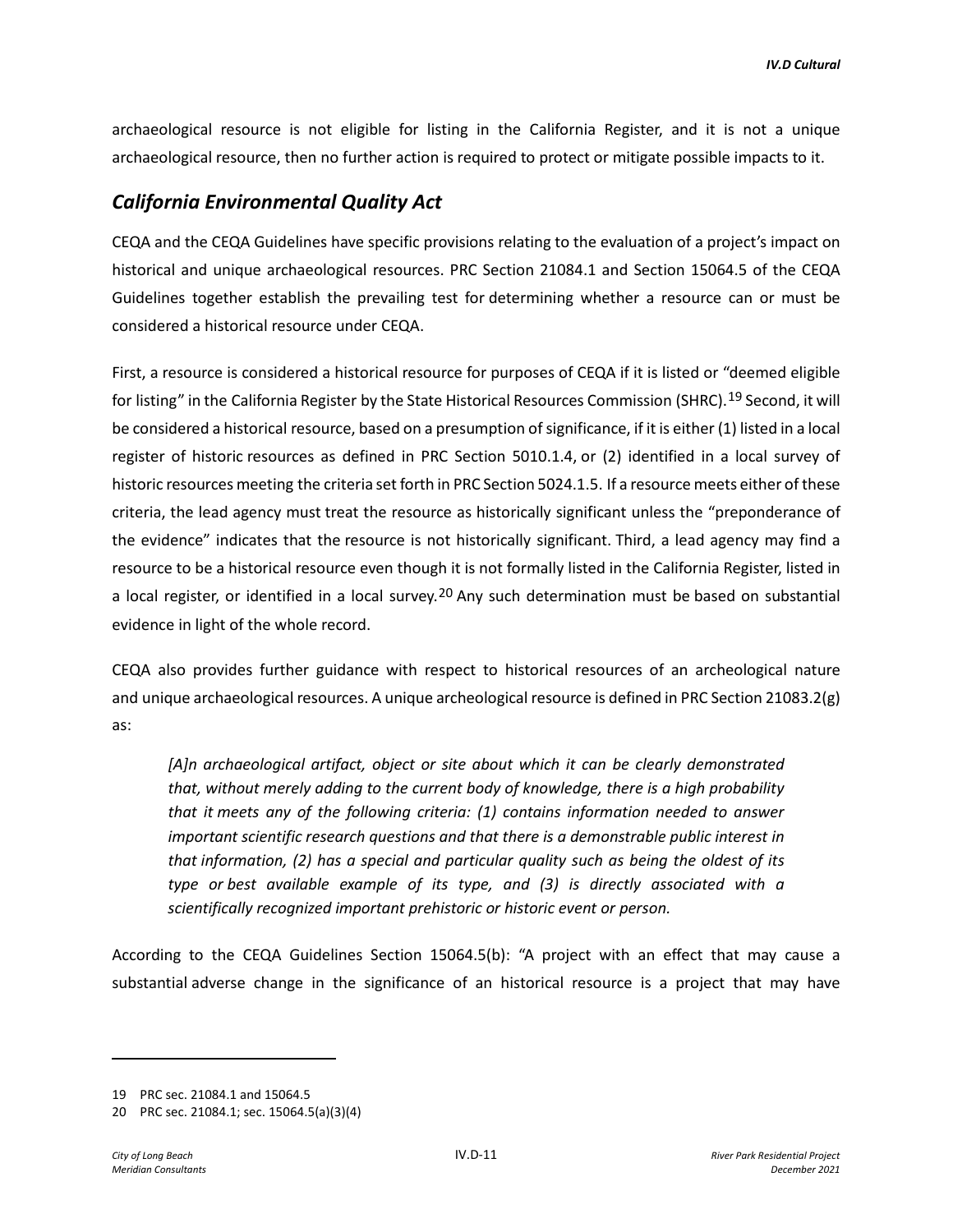archaeological resource is not eligible for listing in the California Register, and it is not a unique archaeological resource, then no further action is required to protect or mitigate possible impacts to it.

# *California Environmental Quality Act*

CEQA and the CEQA Guidelines have specific provisions relating to the evaluation of a project's impact on historical and unique archaeological resources. PRC Section 21084.1 and Section 15064.5 of the CEQA Guidelines together establish the prevailing test for determining whether a resource can or must be considered a historical resource under CEQA.

First, a resource is considered a historical resource for purposes of CEQA if it is listed or "deemed eligible for listing" in the California Register by the State Historical Resources Commission (SHRC).<sup>[19](#page-10-0)</sup> Second, it will be considered a historical resource, based on a presumption of significance, if it is either (1) listed in a local register of historic resources as defined in PRC Section 5010.1.4, or (2) identified in a local survey of historic resources meeting the criteria set forth in PRC Section 5024.1.5. If a resource meets either of these criteria, the lead agency must treat the resource as historically significant unless the "preponderance of the evidence" indicates that the resource is not historically significant. Third, a lead agency may find a resource to be a historical resource even though it is not formally listed in the California Register, listed in a local register, or identified in a local survey.<sup>[20](#page-10-1)</sup> Any such determination must be based on substantial evidence in light of the whole record.

CEQA also provides further guidance with respect to historical resources of an archeological nature and unique archaeological resources. A unique archeological resource is defined in PRC Section 21083.2(g) as:

*[A]n archaeological artifact, object or site about which it can be clearly demonstrated that, without merely adding to the current body of knowledge, there is a high probability that it meets any of the following criteria: (1) contains information needed to answer important scientific research questions and that there is a demonstrable public interest in that information, (2) has a special and particular quality such as being the oldest of its type or best available example of its type, and (3) is directly associated with a scientifically recognized important prehistoric or historic event or person.* 

According to the CEQA Guidelines Section 15064.5(b): "A project with an effect that may cause a substantial adverse change in the significance of an historical resource is a project that may have

<span id="page-10-0"></span><sup>19</sup> PRC sec. 21084.1 and 15064.5

<span id="page-10-1"></span><sup>20</sup> PRC sec. 21084.1; sec. 15064.5(a)(3)(4)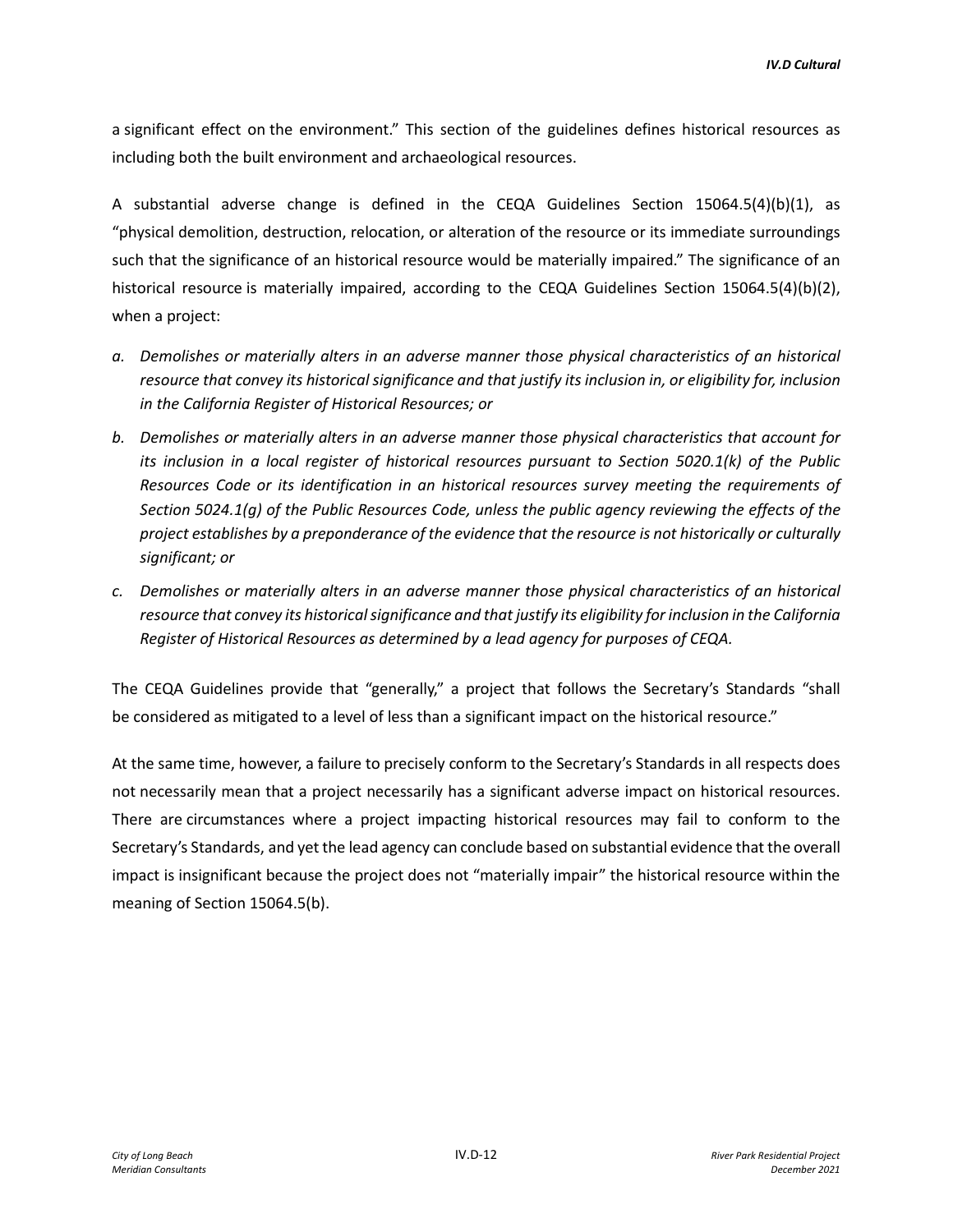a significant effect on the environment." This section of the guidelines defines historical resources as including both the built environment and archaeological resources.

A substantial adverse change is defined in the CEQA Guidelines Section 15064.5(4)(b)(1), as "physical demolition, destruction, relocation, or alteration of the resource or its immediate surroundings such that the significance of an historical resource would be materially impaired." The significance of an historical resource is materially impaired, according to the CEQA Guidelines Section 15064.5(4)(b)(2), when a project:

- *a. Demolishes or materially alters in an adverse manner those physical characteristics of an historical resource that convey its historical significance and that justify its inclusion in, or eligibility for, inclusion in the California Register of Historical Resources; or*
- *b. Demolishes or materially alters in an adverse manner those physical characteristics that account for its inclusion in a local register of historical resources pursuant to Section 5020.1(k) of the Public Resources Code or its identification in an historical resources survey meeting the requirements of Section 5024.1(g) of the Public Resources Code, unless the public agency reviewing the effects of the project establishes by a preponderance of the evidence that the resource is not historically or culturally significant; or*
- *c. Demolishes or materially alters in an adverse manner those physical characteristics of an historical resource that convey its historical significance and that justify its eligibility for inclusion in the California Register of Historical Resources as determined by a lead agency for purposes of CEQA.*

The CEQA Guidelines provide that "generally," a project that follows the Secretary's Standards "shall be considered as mitigated to a level of less than a significant impact on the historical resource."

At the same time, however, a failure to precisely conform to the Secretary's Standards in all respects does not necessarily mean that a project necessarily has a significant adverse impact on historical resources. There are circumstances where a project impacting historical resources may fail to conform to the Secretary's Standards, and yet the lead agency can conclude based on substantial evidence that the overall impact is insignificant because the project does not "materially impair" the historical resource within the meaning of Section 15064.5(b).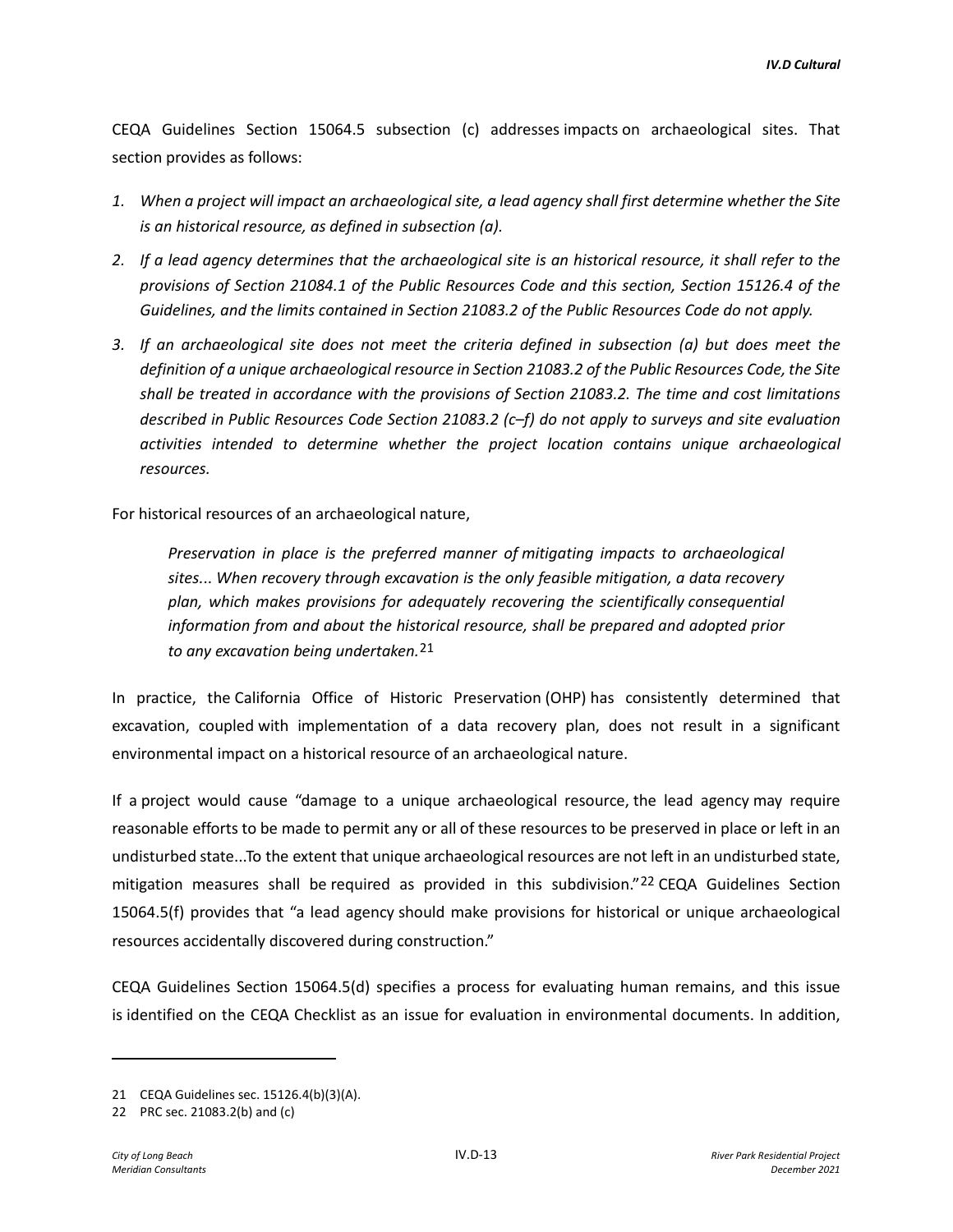CEQA Guidelines Section 15064.5 subsection (c) addresses impacts on archaeological sites. That section provides as follows:

- *1. When a project will impact an archaeological site, a lead agency shall first determine whether the Site is an historical resource, as defined in subsection (a).*
- *2. If a lead agency determines that the archaeological site is an historical resource, it shall refer to the provisions of Section 21084.1 of the Public Resources Code and this section, Section 15126.4 of the Guidelines, and the limits contained in Section 21083.2 of the Public Resources Code do not apply.*
- *3. If an archaeological site does not meet the criteria defined in subsection (a) but does meet the definition of a unique archaeological resource in Section 21083.2 of the Public Resources Code, the Site shall be treated in accordance with the provisions of Section 21083.2. The time and cost limitations described in Public Resources Code Section 21083.2 (c–f) do not apply to surveys and site evaluation activities intended to determine whether the project location contains unique archaeological resources.*

For historical resources of an archaeological nature,

*Preservation in place is the preferred manner of mitigating impacts to archaeological sites.*.. *When recovery through excavation is the only feasible mitigation, a data recovery plan, which makes provisions for adequately recovering the scientifically consequential information from and about the historical resource, shall be prepared and adopted prior to any excavation being undertaken.*[21](#page-12-0)

In practice, the California Office of Historic Preservation (OHP) has consistently determined that excavation, coupled with implementation of a data recovery plan, does not result in a significant environmental impact on a historical resource of an archaeological nature.

If a project would cause "damage to a unique archaeological resource, the lead agency may require reasonable efforts to be made to permit any or all of these resources to be preserved in place or left in an undisturbed state...To the extent that unique archaeological resources are not left in an undisturbed state, mitigation measures shall be required as provided in this subdivision."[22](#page-12-1) CEQA Guidelines Section 15064.5(f) provides that "a lead agency should make provisions for historical or unique archaeological resources accidentally discovered during construction."

CEQA Guidelines Section 15064.5(d) specifies a process for evaluating human remains, and this issue is identified on the CEQA Checklist as an issue for evaluation in environmental documents. In addition,

<span id="page-12-0"></span><sup>21</sup> CEQA Guidelines sec. 15126.4(b)(3)(A).

<span id="page-12-1"></span><sup>22</sup> PRC sec. 21083.2(b) and (c)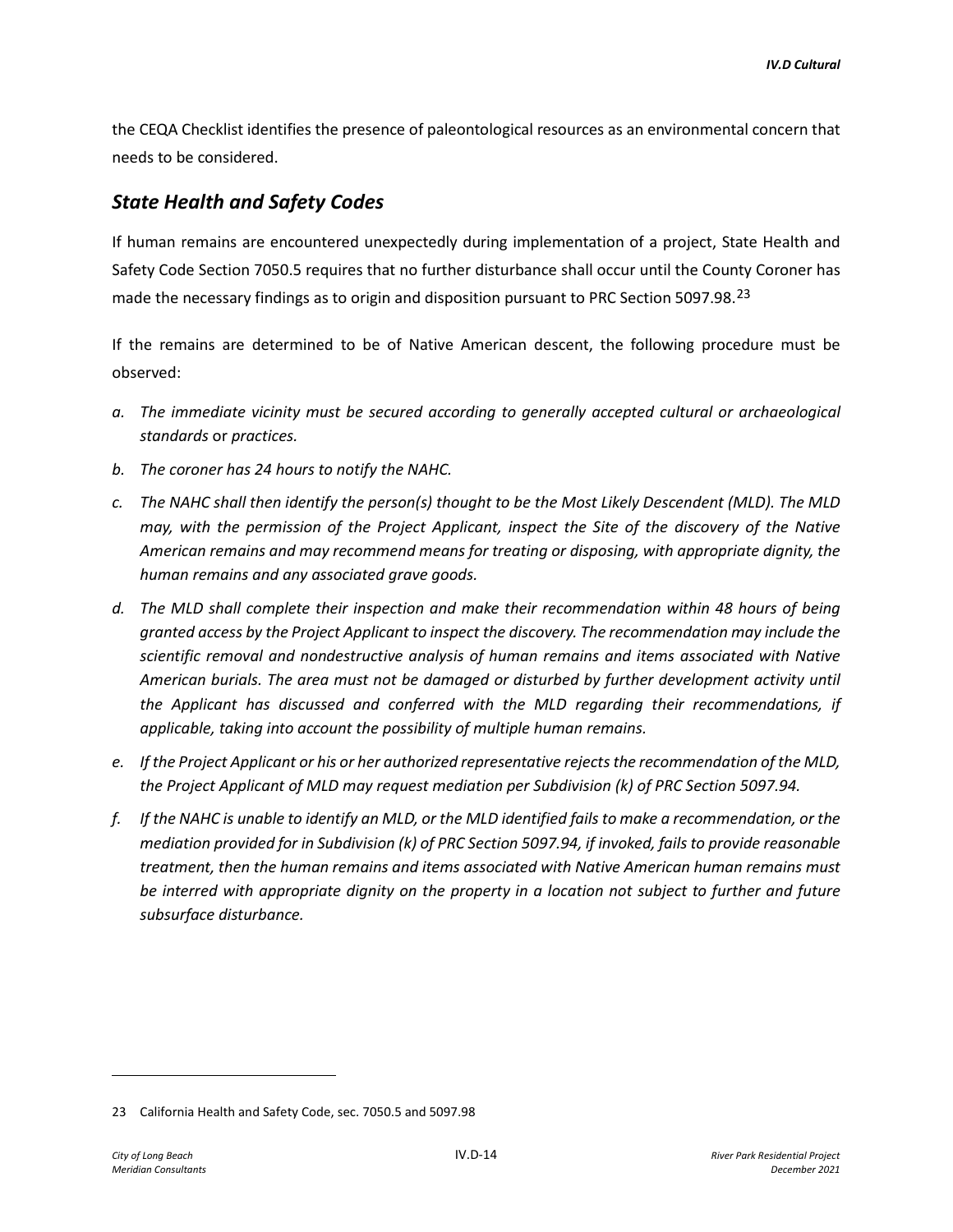the CEQA Checklist identifies the presence of paleontological resources as an environmental concern that needs to be considered.

# *State Health and Safety Codes*

If human remains are encountered unexpectedly during implementation of a project, State Health and Safety Code Section 7050.5 requires that no further disturbance shall occur until the County Coroner has made the necessary findings as to origin and disposition pursuant to PRC Section 5097.98.<sup>[23](#page-13-0)</sup>

If the remains are determined to be of Native American descent, the following procedure must be observed:

- *a. The immediate vicinity must be secured according to generally accepted cultural or archaeological standards* or *practices.*
- *b. The coroner has 24 hours to notify the NAHC.*
- *c. The NAHC shall then identify the person(s) thought to be the Most Likely Descendent (MLD). The MLD may, with the permission of the Project Applicant, inspect the Site of the discovery of the Native American remains and may recommend means for treating or disposing, with appropriate dignity, the human remains and any associated grave goods.*
- *d. The MLD shall complete their inspection and make their recommendation within 48 hours of being granted access by the Project Applicant to inspect the discovery. The recommendation may include the scientific removal and nondestructive analysis of human remains and items associated with Native American burials. The area must not be damaged or disturbed by further development activity until the Applicant has discussed and conferred with the MLD regarding their recommendations, if applicable, taking into account the possibility of multiple human remains.*
- *e. If the Project Applicant or his or her authorized representative rejects the recommendation of the MLD, the Project Applicant of MLD may request mediation per Subdivision (k) of PRC Section 5097.94.*
- *f. If the NAHC is unable to identify an MLD, or the MLD identified fails to make a recommendation, or the mediation provided for in Subdivision (k) of PRC Section 5097.94, if invoked, fails to provide reasonable treatment, then the human remains and items associated with Native American human remains must be interred with appropriate dignity on the property in a location not subject to further and future subsurface disturbance.*

<span id="page-13-0"></span><sup>23</sup> California Health and Safety Code, sec. 7050.5 and 5097.98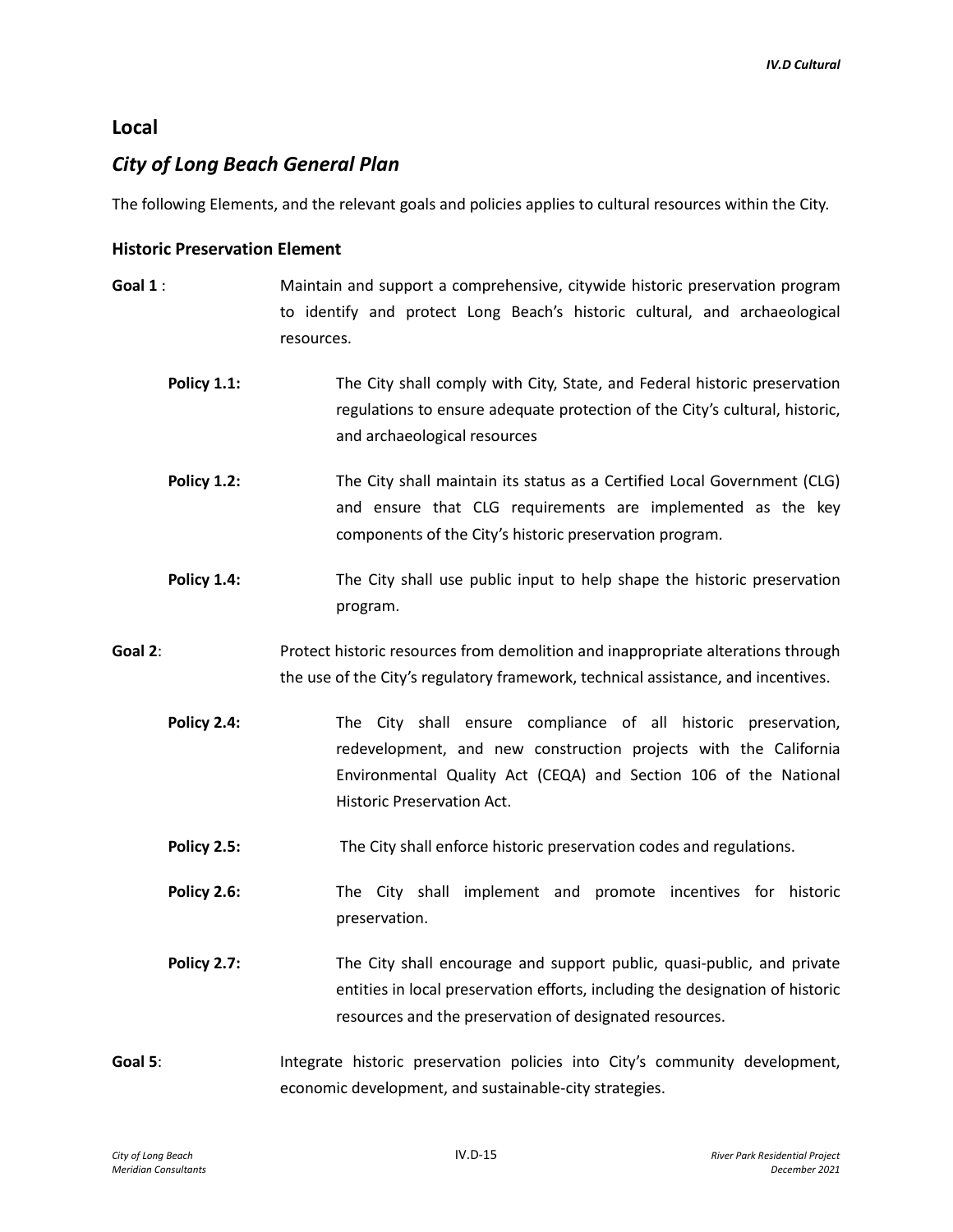## **Local**

# *City of Long Beach General Plan*

The following Elements, and the relevant goals and policies applies to cultural resources within the City.

#### **Historic Preservation Element**

- **Goal 1** : Maintain and support a comprehensive, citywide historic preservation program to identify and protect Long Beach's historic cultural, and archaeological resources.
	- **Policy 1.1:** The City shall comply with City, State, and Federal historic preservation regulations to ensure adequate protection of the City's cultural, historic, and archaeological resources
	- **Policy 1.2:** The City shall maintain its status as a Certified Local Government (CLG) and ensure that CLG requirements are implemented as the key components of the City's historic preservation program.
	- **Policy 1.4:** The City shall use public input to help shape the historic preservation program.
- **Goal 2**: Protect historic resources from demolition and inappropriate alterations through the use of the City's regulatory framework, technical assistance, and incentives.
	- **Policy 2.4:** The City shall ensure compliance of all historic preservation, redevelopment, and new construction projects with the California Environmental Quality Act (CEQA) and Section 106 of the National Historic Preservation Act.
	- **Policy 2.5:** The City shall enforce historic preservation codes and regulations.
	- **Policy 2.6:** The City shall implement and promote incentives for historic preservation.
	- **Policy 2.7:** The City shall encourage and support public, quasi-public, and private entities in local preservation efforts, including the designation of historic resources and the preservation of designated resources.
- Goal 5: **Integrate historic preservation policies into City's community development,** economic development, and sustainable-city strategies.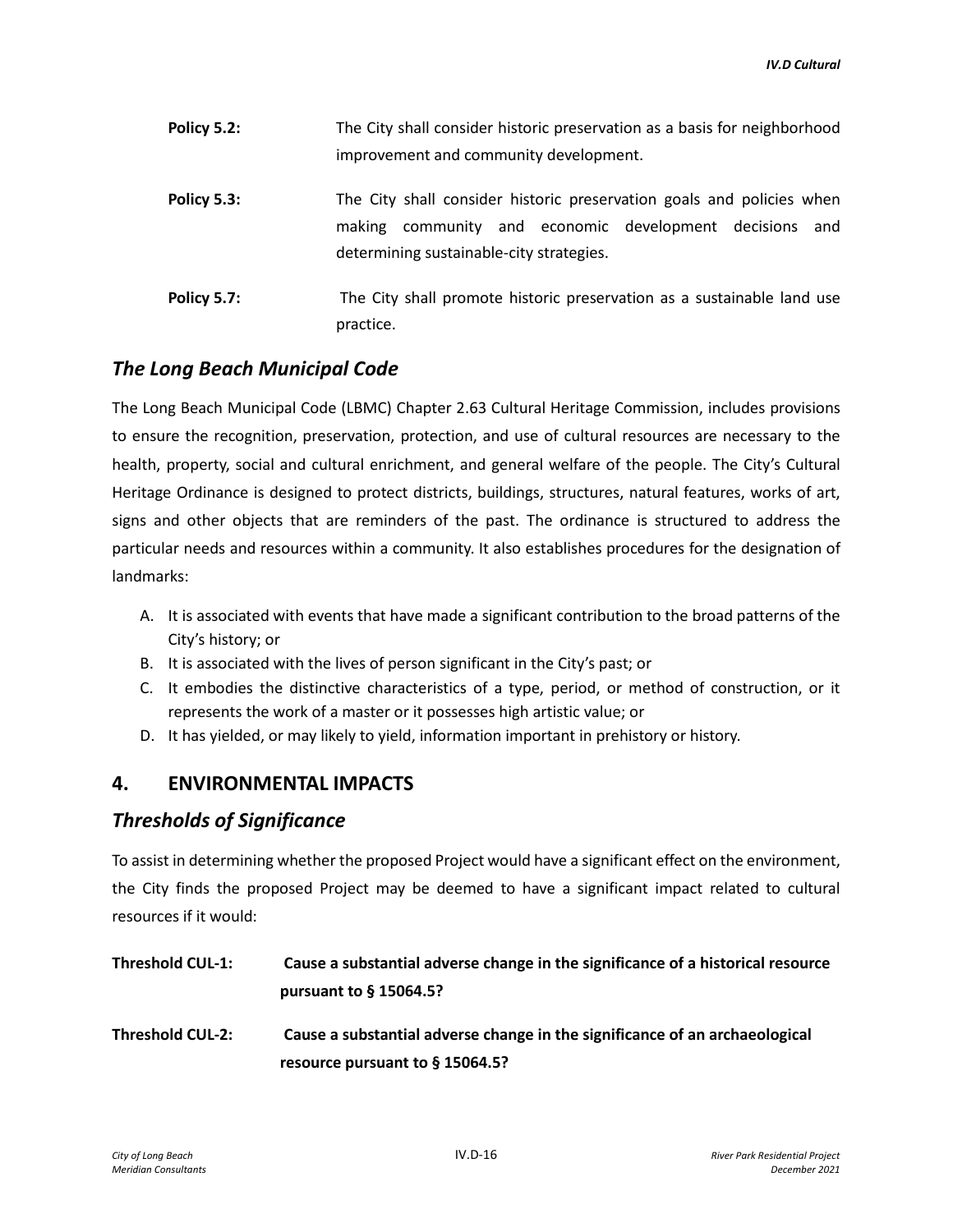| Policy 5.2: | The City shall consider historic preservation as a basis for neighborhood<br>improvement and community development.                                                                |
|-------------|------------------------------------------------------------------------------------------------------------------------------------------------------------------------------------|
| Policy 5.3: | The City shall consider historic preservation goals and policies when<br>community and economic development decisions<br>making<br>and<br>determining sustainable-city strategies. |
| Policy 5.7: | The City shall promote historic preservation as a sustainable land use<br>practice.                                                                                                |

# *The Long Beach Municipal Code*

The Long Beach Municipal Code (LBMC) Chapter 2.63 Cultural Heritage Commission, includes provisions to ensure the recognition, preservation, protection, and use of cultural resources are necessary to the health, property, social and cultural enrichment, and general welfare of the people. The City's Cultural Heritage Ordinance is designed to protect districts, buildings, structures, natural features, works of art, signs and other objects that are reminders of the past. The ordinance is structured to address the particular needs and resources within a community. It also establishes procedures for the designation of landmarks:

- A. It is associated with events that have made a significant contribution to the broad patterns of the City's history; or
- B. It is associated with the lives of person significant in the City's past; or
- C. It embodies the distinctive characteristics of a type, period, or method of construction, or it represents the work of a master or it possesses high artistic value; or
- D. It has yielded, or may likely to yield, information important in prehistory or history.

# **4. ENVIRONMENTAL IMPACTS**

## *Thresholds of Significance*

To assist in determining whether the proposed Project would have a significant effect on the environment, the City finds the proposed Project may be deemed to have a significant impact related to cultural resources if it would:

| <b>Threshold CUL-1:</b> | Cause a substantial adverse change in the significance of a historical resource<br>pursuant to $§$ 15064.5?       |
|-------------------------|-------------------------------------------------------------------------------------------------------------------|
| <b>Threshold CUL-2:</b> | Cause a substantial adverse change in the significance of an archaeological<br>resource pursuant to $\S$ 15064.5? |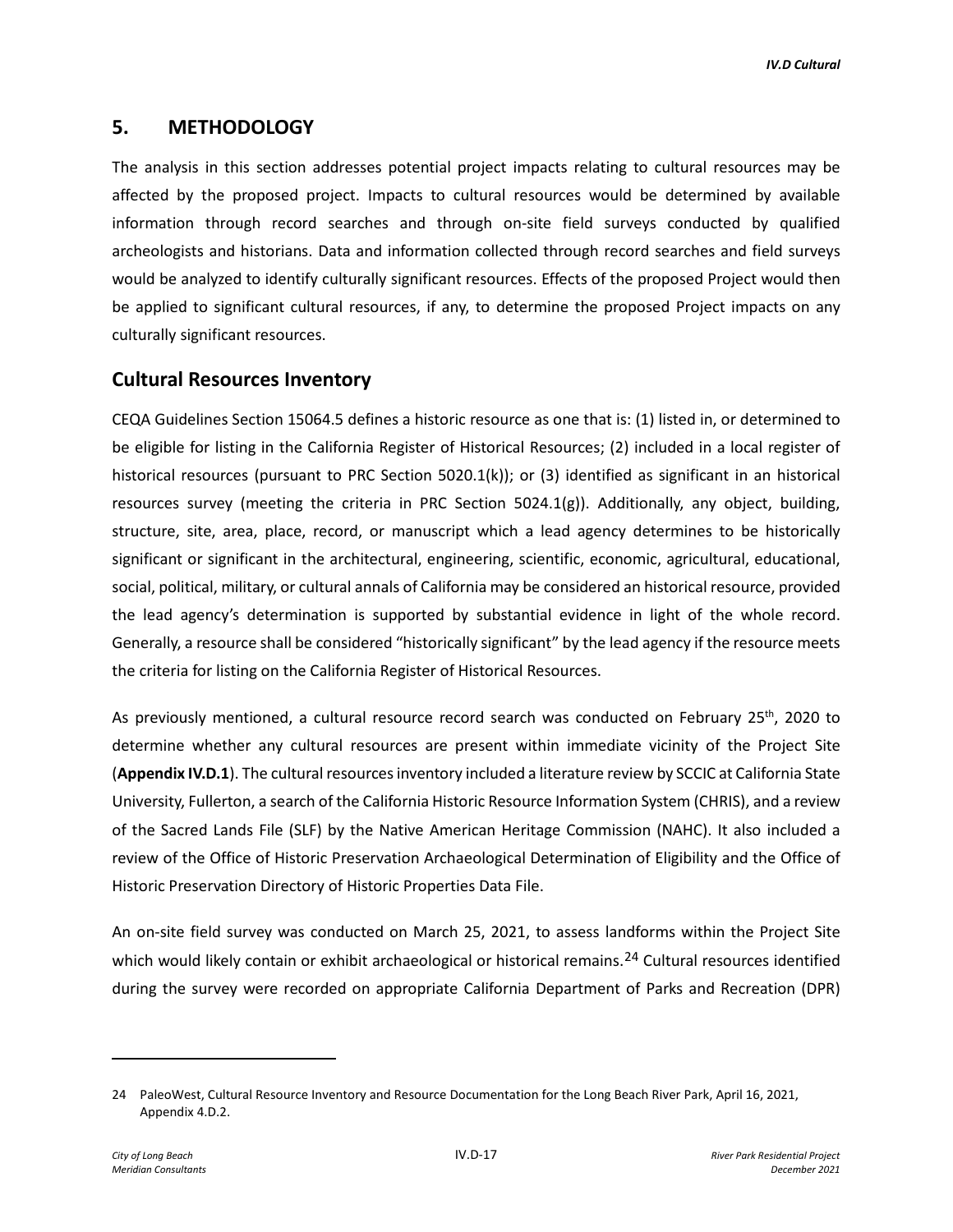# **5. METHODOLOGY**

The analysis in this section addresses potential project impacts relating to cultural resources may be affected by the proposed project. Impacts to cultural resources would be determined by available information through record searches and through on-site field surveys conducted by qualified archeologists and historians. Data and information collected through record searches and field surveys would be analyzed to identify culturally significant resources. Effects of the proposed Project would then be applied to significant cultural resources, if any, to determine the proposed Project impacts on any culturally significant resources.

# **Cultural Resources Inventory**

CEQA Guidelines Section 15064.5 defines a historic resource as one that is: (1) listed in, or determined to be eligible for listing in the California Register of Historical Resources; (2) included in a local register of historical resources (pursuant to PRC Section 5020.1(k)); or (3) identified as significant in an historical resources survey (meeting the criteria in PRC Section 5024.1(g)). Additionally, any object, building, structure, site, area, place, record, or manuscript which a lead agency determines to be historically significant or significant in the architectural, engineering, scientific, economic, agricultural, educational, social, political, military, or cultural annals of California may be considered an historical resource, provided the lead agency's determination is supported by substantial evidence in light of the whole record. Generally, a resource shall be considered "historically significant" by the lead agency if the resource meets the criteria for listing on the California Register of Historical Resources.

As previously mentioned, a cultural resource record search was conducted on February 25<sup>th</sup>, 2020 to determine whether any cultural resources are present within immediate vicinity of the Project Site (**Appendix IV.D.1**). The cultural resources inventory included a literature review by SCCIC at California State University, Fullerton, a search of the California Historic Resource Information System (CHRIS), and a review of the Sacred Lands File (SLF) by the Native American Heritage Commission (NAHC). It also included a review of the Office of Historic Preservation Archaeological Determination of Eligibility and the Office of Historic Preservation Directory of Historic Properties Data File.

An on-site field survey was conducted on March 25, 2021, to assess landforms within the Project Site which would likely contain or exhibit archaeological or historical remains.<sup>[24](#page-16-0)</sup> Cultural resources identified during the survey were recorded on appropriate California Department of Parks and Recreation (DPR)

<span id="page-16-0"></span><sup>24</sup> PaleoWest, Cultural Resource Inventory and Resource Documentation for the Long Beach River Park, April 16, 2021, Appendix 4.D.2.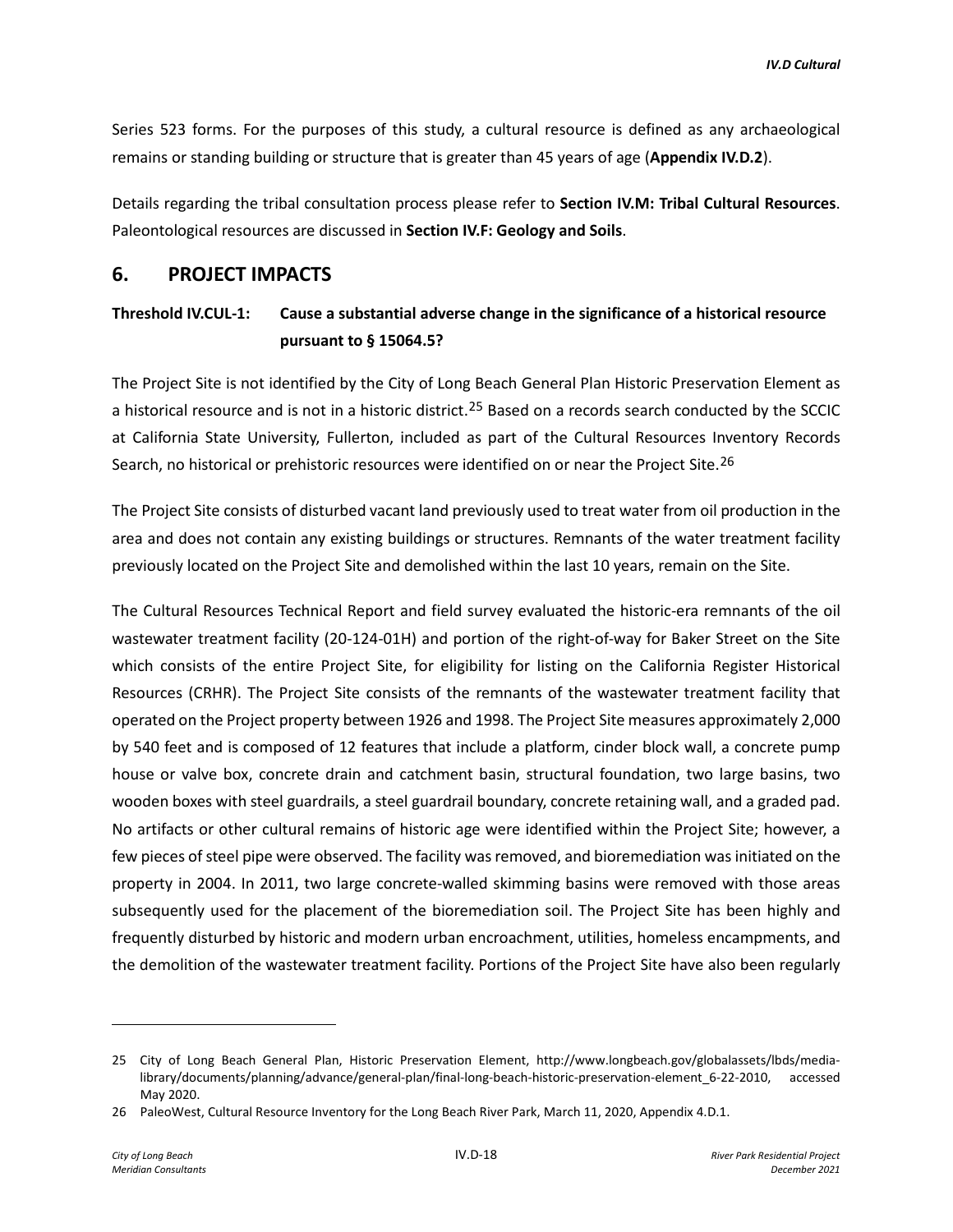Series 523 forms. For the purposes of this study, a cultural resource is defined as any archaeological remains or standing building or structure that is greater than 45 years of age (**Appendix IV.D.2**).

Details regarding the tribal consultation process please refer to **Section IV.M: Tribal Cultural Resources**. Paleontological resources are discussed in **Section IV.F: Geology and Soils**.

#### **6. PROJECT IMPACTS**

# **Threshold IV.CUL-1: Cause a substantial adverse change in the significance of a historical resource pursuant to § 15064.5?**

The Project Site is not identified by the City of Long Beach General Plan Historic Preservation Element as a historical resource and is not in a historic district.<sup>[25](#page-17-0)</sup> Based on a records search conducted by the SCCIC at California State University, Fullerton, included as part of the Cultural Resources Inventory Records Search, no historical or prehistoric resources were identified on or near the Project Site.<sup>[26](#page-17-1)</sup>

The Project Site consists of disturbed vacant land previously used to treat water from oil production in the area and does not contain any existing buildings or structures. Remnants of the water treatment facility previously located on the Project Site and demolished within the last 10 years, remain on the Site.

The Cultural Resources Technical Report and field survey evaluated the historic-era remnants of the oil wastewater treatment facility (20-124-01H) and portion of the right-of-way for Baker Street on the Site which consists of the entire Project Site, for eligibility for listing on the California Register Historical Resources (CRHR). The Project Site consists of the remnants of the wastewater treatment facility that operated on the Project property between 1926 and 1998. The Project Site measures approximately 2,000 by 540 feet and is composed of 12 features that include a platform, cinder block wall, a concrete pump house or valve box, concrete drain and catchment basin, structural foundation, two large basins, two wooden boxes with steel guardrails, a steel guardrail boundary, concrete retaining wall, and a graded pad. No artifacts or other cultural remains of historic age were identified within the Project Site; however, a few pieces of steel pipe were observed. The facility was removed, and bioremediation was initiated on the property in 2004. In 2011, two large concrete-walled skimming basins were removed with those areas subsequently used for the placement of the bioremediation soil. The Project Site has been highly and frequently disturbed by historic and modern urban encroachment, utilities, homeless encampments, and the demolition of the wastewater treatment facility. Portions of the Project Site have also been regularly

<span id="page-17-0"></span><sup>25</sup> City of Long Beach General Plan, Historic Preservation Element, http://www.longbeach.gov/globalassets/lbds/medialibrary/documents/planning/advance/general-plan/final-long-beach-historic-preservation-element\_6-22-2010, accessed May 2020.

<span id="page-17-1"></span><sup>26</sup> PaleoWest, Cultural Resource Inventory for the Long Beach River Park, March 11, 2020, Appendix 4.D.1.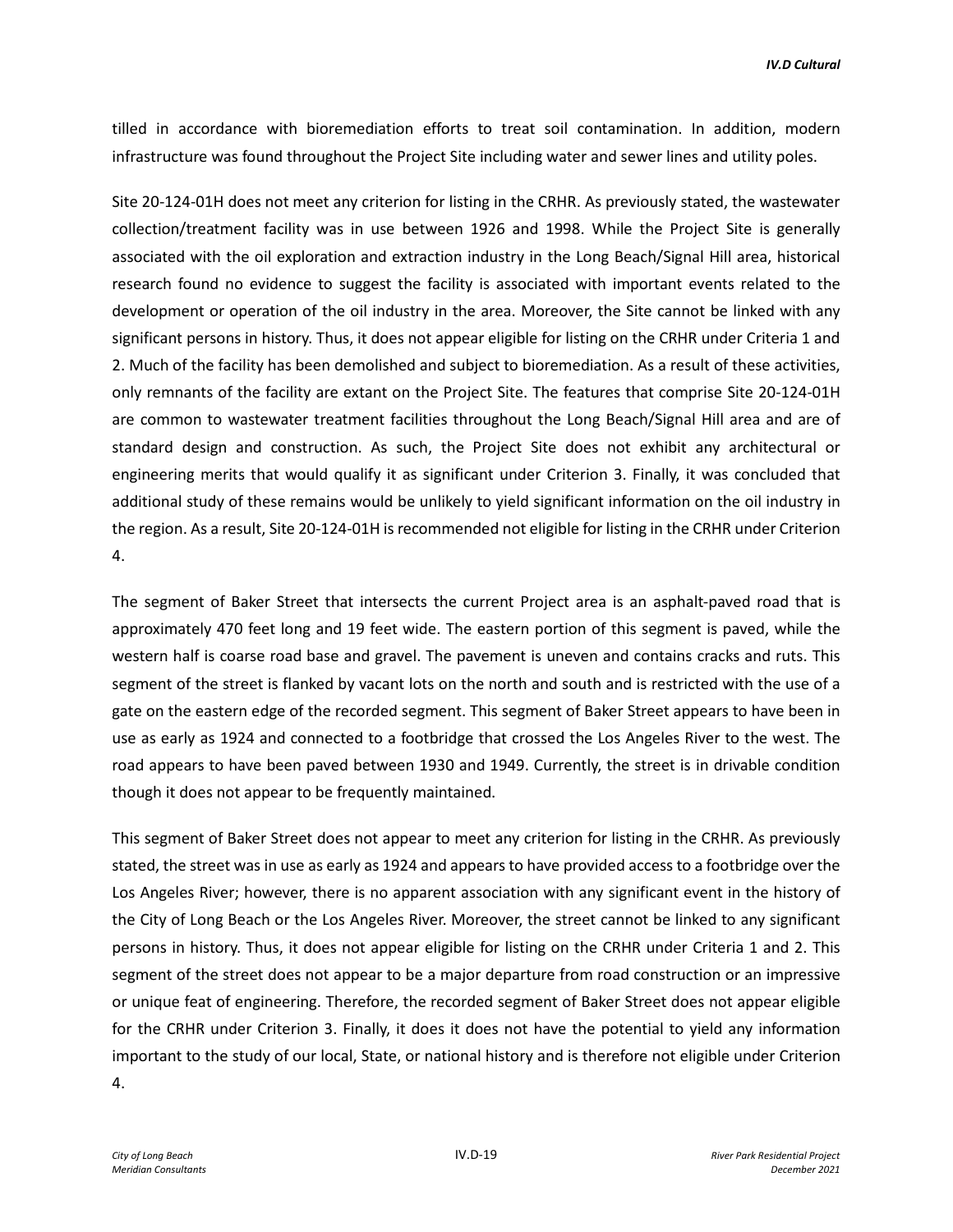tilled in accordance with bioremediation efforts to treat soil contamination. In addition, modern infrastructure was found throughout the Project Site including water and sewer lines and utility poles.

Site 20-124-01H does not meet any criterion for listing in the CRHR. As previously stated, the wastewater collection/treatment facility was in use between 1926 and 1998. While the Project Site is generally associated with the oil exploration and extraction industry in the Long Beach/Signal Hill area, historical research found no evidence to suggest the facility is associated with important events related to the development or operation of the oil industry in the area. Moreover, the Site cannot be linked with any significant persons in history. Thus, it does not appear eligible for listing on the CRHR under Criteria 1 and 2. Much of the facility has been demolished and subject to bioremediation. As a result of these activities, only remnants of the facility are extant on the Project Site. The features that comprise Site 20-124-01H are common to wastewater treatment facilities throughout the Long Beach/Signal Hill area and are of standard design and construction. As such, the Project Site does not exhibit any architectural or engineering merits that would qualify it as significant under Criterion 3. Finally, it was concluded that additional study of these remains would be unlikely to yield significant information on the oil industry in the region. As a result, Site 20-124-01H is recommended not eligible for listing in the CRHR under Criterion 4.

The segment of Baker Street that intersects the current Project area is an asphalt-paved road that is approximately 470 feet long and 19 feet wide. The eastern portion of this segment is paved, while the western half is coarse road base and gravel. The pavement is uneven and contains cracks and ruts. This segment of the street is flanked by vacant lots on the north and south and is restricted with the use of a gate on the eastern edge of the recorded segment. This segment of Baker Street appears to have been in use as early as 1924 and connected to a footbridge that crossed the Los Angeles River to the west. The road appears to have been paved between 1930 and 1949. Currently, the street is in drivable condition though it does not appear to be frequently maintained.

This segment of Baker Street does not appear to meet any criterion for listing in the CRHR. As previously stated, the street was in use as early as 1924 and appears to have provided access to a footbridge over the Los Angeles River; however, there is no apparent association with any significant event in the history of the City of Long Beach or the Los Angeles River. Moreover, the street cannot be linked to any significant persons in history. Thus, it does not appear eligible for listing on the CRHR under Criteria 1 and 2. This segment of the street does not appear to be a major departure from road construction or an impressive or unique feat of engineering. Therefore, the recorded segment of Baker Street does not appear eligible for the CRHR under Criterion 3. Finally, it does it does not have the potential to yield any information important to the study of our local, State, or national history and is therefore not eligible under Criterion 4.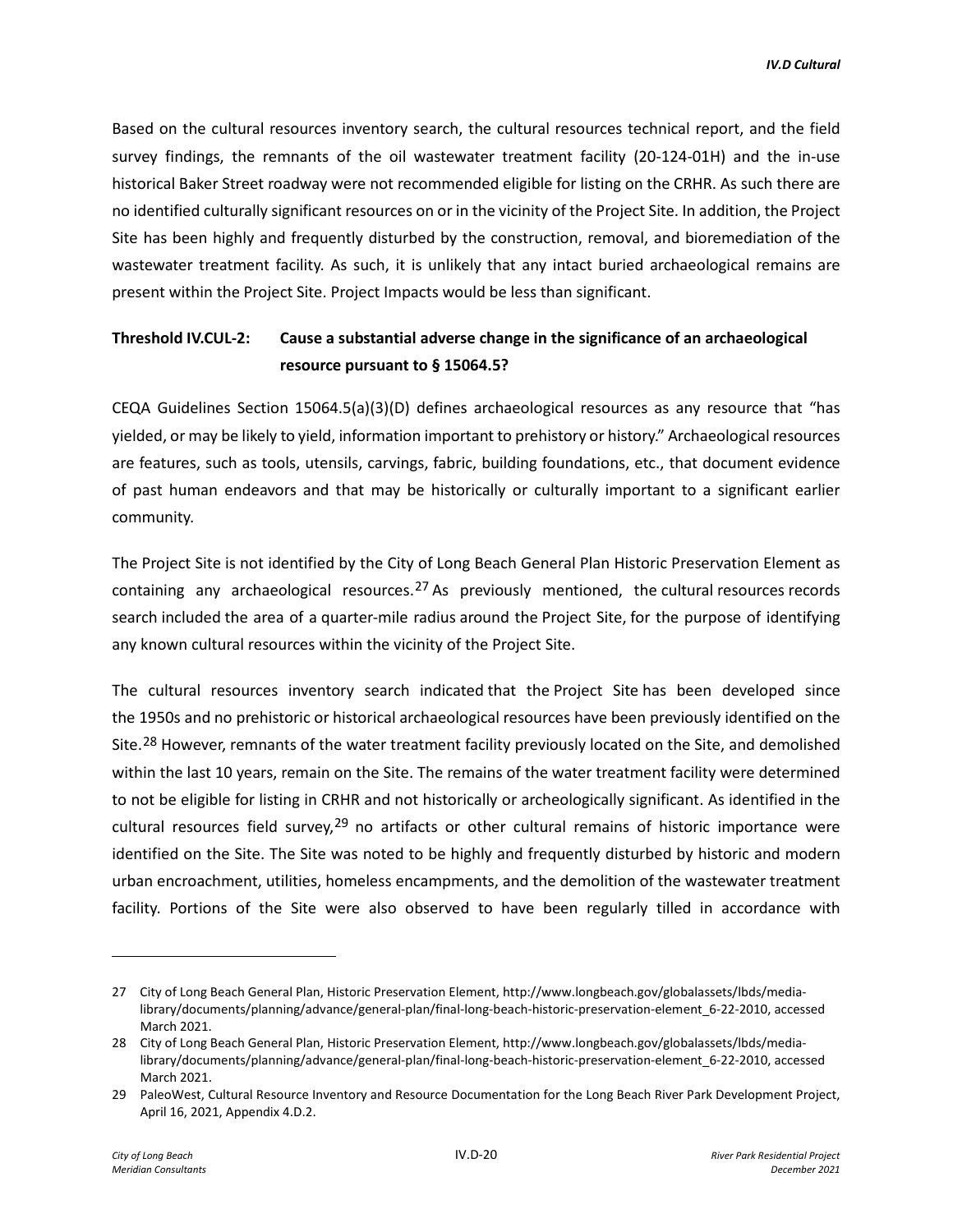Based on the cultural resources inventory search, the cultural resources technical report, and the field survey findings, the remnants of the oil wastewater treatment facility (20-124-01H) and the in-use historical Baker Street roadway were not recommended eligible for listing on the CRHR. As such there are no identified culturally significant resources on or in the vicinity of the Project Site. In addition, the Project Site has been highly and frequently disturbed by the construction, removal, and bioremediation of the wastewater treatment facility. As such, it is unlikely that any intact buried archaeological remains are present within the Project Site. Project Impacts would be less than significant.

# **Threshold IV.CUL-2: Cause a substantial adverse change in the significance of an archaeological resource pursuant to § 15064.5?**

CEQA Guidelines Section 15064.5(a)(3)(D) defines archaeological resources as any resource that "has yielded, or may be likely to yield, information important to prehistory or history." Archaeological resources are features, such as tools, utensils, carvings, fabric, building foundations, etc., that document evidence of past human endeavors and that may be historically or culturally important to a significant earlier community.

The Project Site is not identified by the City of Long Beach General Plan Historic Preservation Element as containing any archaeological resources.<sup>[27](#page-19-0)</sup> As previously mentioned, the cultural resources records search included the area of a quarter-mile radius around the Project Site, for the purpose of identifying any known cultural resources within the vicinity of the Project Site.

The cultural resources inventory search indicated that the Project Site has been developed since the 1950s and no prehistoric or historical archaeological resources have been previously identified on the Site.<sup>[28](#page-19-1)</sup> However, remnants of the water treatment facility previously located on the Site, and demolished within the last 10 years, remain on the Site. The remains of the water treatment facility were determined to not be eligible for listing in CRHR and not historically or archeologically significant. As identified in the cultural resources field survey.<sup>[29](#page-19-2)</sup> no artifacts or other cultural remains of historic importance were identified on the Site. The Site was noted to be highly and frequently disturbed by historic and modern urban encroachment, utilities, homeless encampments, and the demolition of the wastewater treatment facility. Portions of the Site were also observed to have been regularly tilled in accordance with

<span id="page-19-0"></span><sup>27</sup> City of Long Beach General Plan, Historic Preservation Element, http://www.longbeach.gov/globalassets/lbds/medialibrary/documents/planning/advance/general-plan/final-long-beach-historic-preservation-element\_6-22-2010, accessed March 2021.

<span id="page-19-1"></span><sup>28</sup> City of Long Beach General Plan, Historic Preservation Element, http://www.longbeach.gov/globalassets/lbds/medialibrary/documents/planning/advance/general-plan/final-long-beach-historic-preservation-element\_6-22-2010, accessed March 2021.

<span id="page-19-2"></span><sup>29</sup> PaleoWest, Cultural Resource Inventory and Resource Documentation for the Long Beach River Park Development Project, April 16, 2021, Appendix 4.D.2.